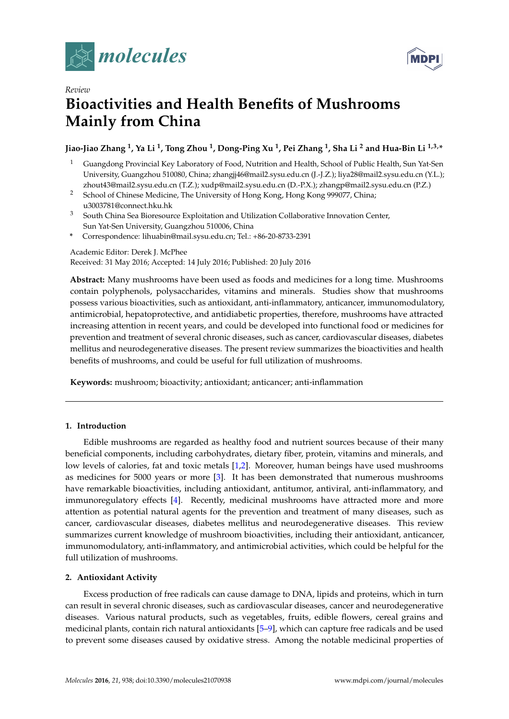



# *Review* **Bioactivities and Health Benefits of Mushrooms Mainly from China**

# **Jiao-Jiao Zhang <sup>1</sup> , Ya Li <sup>1</sup> , Tong Zhou <sup>1</sup> , Dong-Ping Xu <sup>1</sup> , Pei Zhang <sup>1</sup> , Sha Li <sup>2</sup> and Hua-Bin Li 1,3,\***

- <sup>1</sup> Guangdong Provincial Key Laboratory of Food, Nutrition and Health, School of Public Health, Sun Yat-Sen University, Guangzhou 510080, China; zhangjj46@mail2.sysu.edu.cn (J.-J.Z.); liya28@mail2.sysu.edu.cn (Y.L.); zhout43@mail2.sysu.edu.cn (T.Z.); xudp@mail2.sysu.edu.cn (D.-P.X.); zhangp@mail2.sysu.edu.cn (P.Z.)
- <sup>2</sup> School of Chinese Medicine, The University of Hong Kong, Hong Kong 999077, China; u3003781@connect.hku.hk
- <sup>3</sup> South China Sea Bioresource Exploitation and Utilization Collaborative Innovation Center, Sun Yat-Sen University, Guangzhou 510006, China
- **\*** Correspondence: lihuabin@mail.sysu.edu.cn; Tel.: +86-20-8733-2391

## Academic Editor: Derek J. McPhee Received: 31 May 2016; Accepted: 14 July 2016; Published: 20 July 2016

**Abstract:** Many mushrooms have been used as foods and medicines for a long time. Mushrooms contain polyphenols, polysaccharides, vitamins and minerals. Studies show that mushrooms possess various bioactivities, such as antioxidant, anti-inflammatory, anticancer, immunomodulatory, antimicrobial, hepatoprotective, and antidiabetic properties, therefore, mushrooms have attracted increasing attention in recent years, and could be developed into functional food or medicines for prevention and treatment of several chronic diseases, such as cancer, cardiovascular diseases, diabetes mellitus and neurodegenerative diseases. The present review summarizes the bioactivities and health benefits of mushrooms, and could be useful for full utilization of mushrooms.

**Keywords:** mushroom; bioactivity; antioxidant; anticancer; anti-inflammation

# **1. Introduction**

Edible mushrooms are regarded as healthy food and nutrient sources because of their many beneficial components, including carbohydrates, dietary fiber, protein, vitamins and minerals, and low levels of calories, fat and toxic metals [\[1,](#page-9-0)[2\]](#page-10-0). Moreover, human beings have used mushrooms as medicines for 5000 years or more [\[3\]](#page-10-1). It has been demonstrated that numerous mushrooms have remarkable bioactivities, including antioxidant, antitumor, antiviral, anti-inflammatory, and immunoregulatory effects [\[4\]](#page-10-2). Recently, medicinal mushrooms have attracted more and more attention as potential natural agents for the prevention and treatment of many diseases, such as cancer, cardiovascular diseases, diabetes mellitus and neurodegenerative diseases. This review summarizes current knowledge of mushroom bioactivities, including their antioxidant, anticancer, immunomodulatory, anti-inflammatory, and antimicrobial activities, which could be helpful for the full utilization of mushrooms.

### **2. Antioxidant Activity**

Excess production of free radicals can cause damage to DNA, lipids and proteins, which in turn can result in several chronic diseases, such as cardiovascular diseases, cancer and neurodegenerative diseases. Various natural products, such as vegetables, fruits, edible flowers, cereal grains and medicinal plants, contain rich natural antioxidants [\[5–](#page-10-3)[9\]](#page-10-4), which can capture free radicals and be used to prevent some diseases caused by oxidative stress. Among the notable medicinal properties of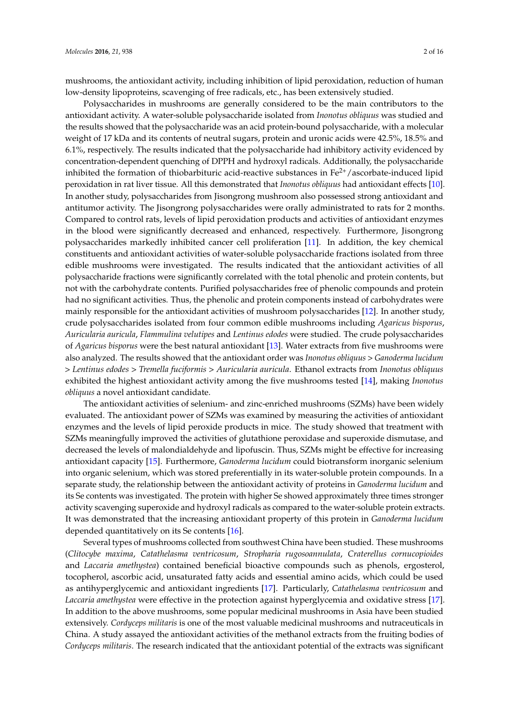mushrooms, the antioxidant activity, including inhibition of lipid peroxidation, reduction of human low-density lipoproteins, scavenging of free radicals, etc., has been extensively studied.

Polysaccharides in mushrooms are generally considered to be the main contributors to the antioxidant activity. A water-soluble polysaccharide isolated from *Inonotus obliquus* was studied and the results showed that the polysaccharide was an acid protein-bound polysaccharide, with a molecular weight of 17 kDa and its contents of neutral sugars, protein and uronic acids were 42.5%, 18.5% and 6.1%, respectively. The results indicated that the polysaccharide had inhibitory activity evidenced by concentration-dependent quenching of DPPH and hydroxyl radicals. Additionally, the polysaccharide inhibited the formation of thiobarbituric acid-reactive substances in  $Fe<sup>2+</sup>/ascorbate-induced lipid$ peroxidation in rat liver tissue. All this demonstrated that *Inonotus obliquus* had antioxidant effects [\[10\]](#page-10-5). In another study, polysaccharides from Jisongrong mushroom also possessed strong antioxidant and antitumor activity. The Jisongrong polysaccharides were orally administrated to rats for 2 months. Compared to control rats, levels of lipid peroxidation products and activities of antioxidant enzymes in the blood were significantly decreased and enhanced, respectively. Furthermore, Jisongrong polysaccharides markedly inhibited cancer cell proliferation [\[11\]](#page-10-6). In addition, the key chemical constituents and antioxidant activities of water-soluble polysaccharide fractions isolated from three edible mushrooms were investigated. The results indicated that the antioxidant activities of all polysaccharide fractions were significantly correlated with the total phenolic and protein contents, but not with the carbohydrate contents. Purified polysaccharides free of phenolic compounds and protein had no significant activities. Thus, the phenolic and protein components instead of carbohydrates were mainly responsible for the antioxidant activities of mushroom polysaccharides [\[12\]](#page-10-7). In another study, crude polysaccharides isolated from four common edible mushrooms including *Agaricus bisporus*, *Auricularia auricula*, *Flammulina velutipes* and *Lentinus edodes* were studied. The crude polysaccharides of *Agaricus bisporus* were the best natural antioxidant [\[13\]](#page-10-8). Water extracts from five mushrooms were also analyzed. The results showed that the antioxidant order was *Inonotus obliquus* > *Ganoderma lucidum* > *Lentinus edodes* > *Tremella fuciformis* > *Auricularia auricula*. Ethanol extracts from *Inonotus obliquus* exhibited the highest antioxidant activity among the five mushrooms tested [\[14\]](#page-10-9), making *Inonotus obliquus* a novel antioxidant candidate.

The antioxidant activities of selenium- and zinc-enriched mushrooms (SZMs) have been widely evaluated. The antioxidant power of SZMs was examined by measuring the activities of antioxidant enzymes and the levels of lipid peroxide products in mice. The study showed that treatment with SZMs meaningfully improved the activities of glutathione peroxidase and superoxide dismutase, and decreased the levels of malondialdehyde and lipofuscin. Thus, SZMs might be effective for increasing antioxidant capacity [\[15\]](#page-10-10). Furthermore, *Ganoderma lucidum* could biotransform inorganic selenium into organic selenium, which was stored preferentially in its water-soluble protein compounds. In a separate study, the relationship between the antioxidant activity of proteins in *Ganoderma lucidum* and its Se contents was investigated. The protein with higher Se showed approximately three times stronger activity scavenging superoxide and hydroxyl radicals as compared to the water-soluble protein extracts. It was demonstrated that the increasing antioxidant property of this protein in *Ganoderma lucidum* depended quantitatively on its Se contents [\[16\]](#page-10-11).

Several types of mushrooms collected from southwest China have been studied. These mushrooms (*Clitocybe maxima*, *Catathelasma ventricosum*, *Stropharia rugosoannulata*, *Craterellus cornucopioides* and *Laccaria amethystea*) contained beneficial bioactive compounds such as phenols, ergosterol, tocopherol, ascorbic acid, unsaturated fatty acids and essential amino acids, which could be used as antihyperglycemic and antioxidant ingredients [\[17\]](#page-10-12). Particularly, *Catathelasma ventricosum* and *Laccaria amethystea* were effective in the protection against hyperglycemia and oxidative stress [\[17\]](#page-10-12). In addition to the above mushrooms, some popular medicinal mushrooms in Asia have been studied extensively. *Cordyceps militaris* is one of the most valuable medicinal mushrooms and nutraceuticals in China. A study assayed the antioxidant activities of the methanol extracts from the fruiting bodies of *Cordyceps militaris*. The research indicated that the antioxidant potential of the extracts was significant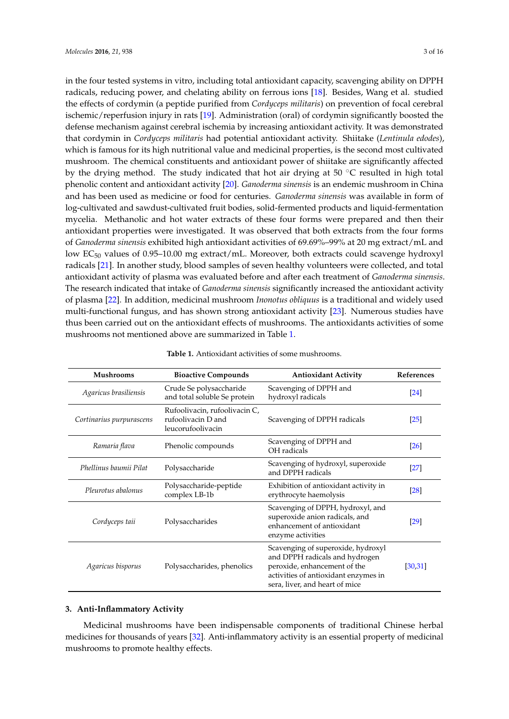in the four tested systems in vitro, including total antioxidant capacity, scavenging ability on DPPH radicals, reducing power, and chelating ability on ferrous ions [\[18\]](#page-10-13). Besides, Wang et al. studied the effects of cordymin (a peptide purified from *Cordyceps militaris*) on prevention of focal cerebral ischemic/reperfusion injury in rats [\[19\]](#page-10-14). Administration (oral) of cordymin significantly boosted the defense mechanism against cerebral ischemia by increasing antioxidant activity. It was demonstrated that cordymin in *Cordyceps militaris* had potential antioxidant activity. Shiitake (*Lentinula edodes*), which is famous for its high nutritional value and medicinal properties, is the second most cultivated mushroom. The chemical constituents and antioxidant power of shiitake are significantly affected by the drying method. The study indicated that hot air drying at 50  $\degree$ C resulted in high total phenolic content and antioxidant activity [\[20\]](#page-10-15). *Ganoderma sinensis* is an endemic mushroom in China and has been used as medicine or food for centuries. *Ganoderma sinensis* was available in form of log-cultivated and sawdust-cultivated fruit bodies, solid-fermented products and liquid-fermentation mycelia. Methanolic and hot water extracts of these four forms were prepared and then their antioxidant properties were investigated. It was observed that both extracts from the four forms of *Ganoderma sinensis* exhibited high antioxidant activities of 69.69%–99% at 20 mg extract/mL and low  $EC_{50}$  values of 0.95–10.00 mg extract/mL. Moreover, both extracts could scavenge hydroxyl radicals [\[21\]](#page-10-16). In another study, blood samples of seven healthy volunteers were collected, and total antioxidant activity of plasma was evaluated before and after each treatment of *Ganoderma sinensis*. The research indicated that intake of *Ganoderma sinensis* significantly increased the antioxidant activity of plasma [\[22\]](#page-10-17). In addition, medicinal mushroom *Inonotus obliquus* is a traditional and widely used multi-functional fungus, and has shown strong antioxidant activity [\[23\]](#page-11-0). Numerous studies have thus been carried out on the antioxidant effects of mushrooms. The antioxidants activities of some mushrooms not mentioned above are summarized in Table [1.](#page-2-0)

<span id="page-2-0"></span>

| <b>Mushrooms</b>         | <b>Bioactive Compounds</b>                                               | <b>Antioxidant Activity</b>                                                                                                                                                    | References         |
|--------------------------|--------------------------------------------------------------------------|--------------------------------------------------------------------------------------------------------------------------------------------------------------------------------|--------------------|
| Agaricus brasiliensis    | Crude Se polysaccharide<br>and total soluble Se protein                  | Scavenging of DPPH and<br>hydroxyl radicals                                                                                                                                    | $\left[24\right]$  |
| Cortinarius purpurascens | Rufoolivacin, rufoolivacin C,<br>rufoolivacin D and<br>leucorufoolivacin | Scavenging of DPPH radicals                                                                                                                                                    | $\sqrt{25}$        |
| Ramaria flava            | Phenolic compounds                                                       | Scavenging of DPPH and<br>OH radicals                                                                                                                                          | $\lceil 26 \rceil$ |
| Phellinus baumii Pilat   | Polysaccharide                                                           | Scavenging of hydroxyl, superoxide<br>and DPPH radicals                                                                                                                        | [27]               |
| Pleurotus abalonus       | Polysaccharide-peptide<br>complex LB-1b                                  | Exhibition of antioxidant activity in<br>erythrocyte haemolysis                                                                                                                | $\lceil 28 \rceil$ |
| Cordyceps taii           | Polysaccharides                                                          | Scavenging of DPPH, hydroxyl, and<br>superoxide anion radicals, and<br>enhancement of antioxidant<br>enzyme activities                                                         | $\left[29\right]$  |
| Agaricus bisporus        | Polysaccharides, phenolics                                               | Scavenging of superoxide, hydroxyl<br>and DPPH radicals and hydrogen<br>peroxide, enhancement of the<br>activities of antioxidant enzymes in<br>sera, liver, and heart of mice | [30,31]            |

| <b>Table 1.</b> Antioxidant activities of some mushrooms. |  |
|-----------------------------------------------------------|--|
|-----------------------------------------------------------|--|

#### **3. Anti-Inflammatory Activity**

Medicinal mushrooms have been indispensable components of traditional Chinese herbal medicines for thousands of years [\[32\]](#page-11-9). Anti-inflammatory activity is an essential property of medicinal mushrooms to promote healthy effects.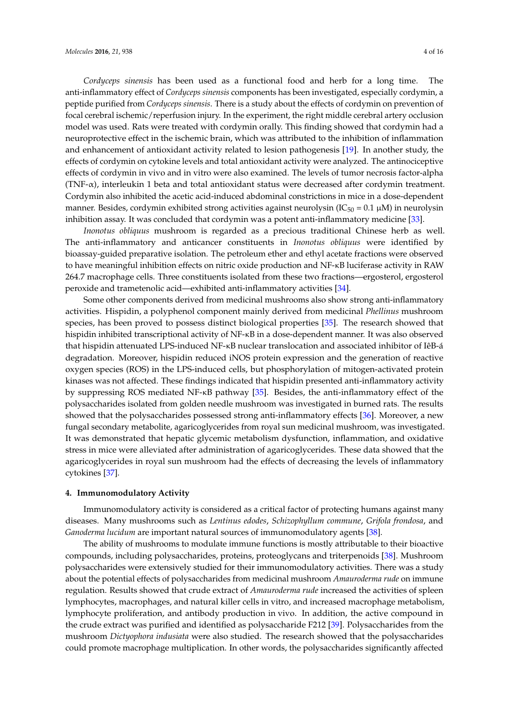*Cordyceps sinensis* has been used as a functional food and herb for a long time. The anti-inflammatory effect of *Cordyceps sinensis* components has been investigated, especially cordymin, a peptide purified from *Cordyceps sinensis*. There is a study about the effects of cordymin on prevention of focal cerebral ischemic/reperfusion injury. In the experiment, the right middle cerebral artery occlusion model was used. Rats were treated with cordymin orally. This finding showed that cordymin had a neuroprotective effect in the ischemic brain, which was attributed to the inhibition of inflammation and enhancement of antioxidant activity related to lesion pathogenesis [\[19\]](#page-10-14). In another study, the effects of cordymin on cytokine levels and total antioxidant activity were analyzed. The antinociceptive effects of cordymin in vivo and in vitro were also examined. The levels of tumor necrosis factor-alpha (TNF-α), interleukin 1 beta and total antioxidant status were decreased after cordymin treatment. Cordymin also inhibited the acetic acid-induced abdominal constrictions in mice in a dose-dependent manner. Besides, cordymin exhibited strong activities against neurolysin (IC<sub>50</sub> = 0.1  $\mu$ M) in neurolysin inhibition assay. It was concluded that cordymin was a potent anti-inflammatory medicine [\[33\]](#page-11-10).

*Inonotus obliquus* mushroom is regarded as a precious traditional Chinese herb as well. The anti-inflammatory and anticancer constituents in *Inonotus obliquus* were identified by bioassay-guided preparative isolation. The petroleum ether and ethyl acetate fractions were observed to have meaningful inhibition effects on nitric oxide production and NF-κB luciferase activity in RAW 264.7 macrophage cells. Three constituents isolated from these two fractions—ergosterol, ergosterol peroxide and trametenolic acid—exhibited anti-inflammatory activities [\[34\]](#page-11-11).

Some other components derived from medicinal mushrooms also show strong anti-inflammatory activities. Hispidin, a polyphenol component mainly derived from medicinal *Phellinus* mushroom species, has been proved to possess distinct biological properties [\[35\]](#page-11-12). The research showed that hispidin inhibited transcriptional activity of NF-κB in a dose-dependent manner. It was also observed that hispidin attenuated LPS-induced NF-κB nuclear translocation and associated inhibitor of IêB-á degradation. Moreover, hispidin reduced iNOS protein expression and the generation of reactive oxygen species (ROS) in the LPS-induced cells, but phosphorylation of mitogen-activated protein kinases was not affected. These findings indicated that hispidin presented anti-inflammatory activity by suppressing ROS mediated NF-κB pathway [\[35\]](#page-11-12). Besides, the anti-inflammatory effect of the polysaccharides isolated from golden needle mushroom was investigated in burned rats. The results showed that the polysaccharides possessed strong anti-inflammatory effects [\[36\]](#page-11-13). Moreover, a new fungal secondary metabolite, agaricoglycerides from royal sun medicinal mushroom, was investigated. It was demonstrated that hepatic glycemic metabolism dysfunction, inflammation, and oxidative stress in mice were alleviated after administration of agaricoglycerides. These data showed that the agaricoglycerides in royal sun mushroom had the effects of decreasing the levels of inflammatory cytokines [\[37\]](#page-11-14).

#### **4. Immunomodulatory Activity**

Immunomodulatory activity is considered as a critical factor of protecting humans against many diseases. Many mushrooms such as *Lentinus edodes*, *Schizophyllum commune*, *Grifola frondosa*, and *Ganoderma lucidum* are important natural sources of immunomodulatory agents [\[38\]](#page-11-15).

The ability of mushrooms to modulate immune functions is mostly attributable to their bioactive compounds, including polysaccharides, proteins, proteoglycans and triterpenoids [\[38\]](#page-11-15). Mushroom polysaccharides were extensively studied for their immunomodulatory activities. There was a study about the potential effects of polysaccharides from medicinal mushroom *Amauroderma rude* on immune regulation. Results showed that crude extract of *Amauroderma rude* increased the activities of spleen lymphocytes, macrophages, and natural killer cells in vitro, and increased macrophage metabolism, lymphocyte proliferation, and antibody production in vivo. In addition, the active compound in the crude extract was purified and identified as polysaccharide F212 [\[39\]](#page-11-16). Polysaccharides from the mushroom *Dictyophora indusiata* were also studied. The research showed that the polysaccharides could promote macrophage multiplication. In other words, the polysaccharides significantly affected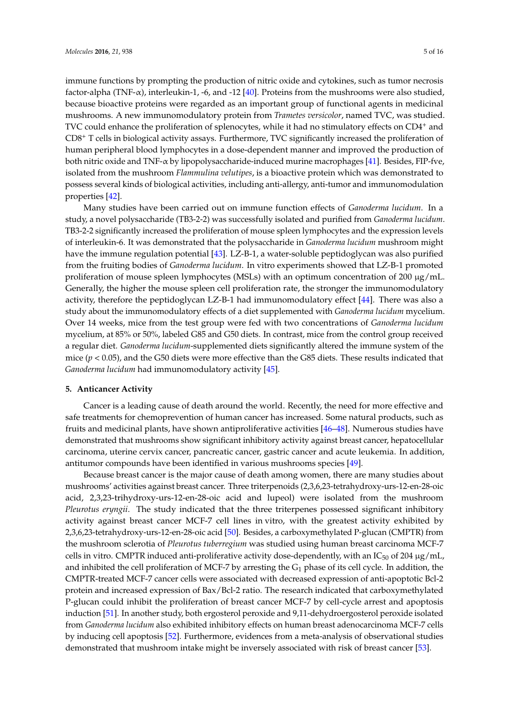immune functions by prompting the production of nitric oxide and cytokines, such as tumor necrosis factor-alpha (TNF- $\alpha$ ), interleukin-1, -6, and -12 [\[40\]](#page-11-17). Proteins from the mushrooms were also studied, because bioactive proteins were regarded as an important group of functional agents in medicinal mushrooms. A new immunomodulatory protein from *Trametes versicolor*, named TVC, was studied. TVC could enhance the proliferation of splenocytes, while it had no stimulatory effects on CD4<sup>+</sup> and CD8<sup>+</sup> T cells in biological activity assays. Furthermore, TVC significantly increased the proliferation of human peripheral blood lymphocytes in a dose-dependent manner and improved the production of both nitric oxide and TNF-α by lipopolysaccharide-induced murine macrophages [\[41\]](#page-11-18). Besides, FIP-fve, isolated from the mushroom *Flammulina velutipes*, is a bioactive protein which was demonstrated to possess several kinds of biological activities, including anti-allergy, anti-tumor and immunomodulation properties [\[42\]](#page-11-19).

Many studies have been carried out on immune function effects of *Ganoderma lucidum*. In a study, a novel polysaccharide (TB3-2-2) was successfully isolated and purified from *Ganoderma lucidum*. TB3-2-2 significantly increased the proliferation of mouse spleen lymphocytes and the expression levels of interleukin-6. It was demonstrated that the polysaccharide in *Ganoderma lucidum* mushroom might have the immune regulation potential [\[43\]](#page-12-0). LZ-B-1, a water-soluble peptidoglycan was also purified from the fruiting bodies of *Ganoderma lucidum*. In vitro experiments showed that LZ-B-1 promoted proliferation of mouse spleen lymphocytes (MSLs) with an optimum concentration of 200  $\mu$ g/mL. Generally, the higher the mouse spleen cell proliferation rate, the stronger the immunomodulatory activity, therefore the peptidoglycan LZ-B-1 had immunomodulatory effect [\[44\]](#page-12-1). There was also a study about the immunomodulatory effects of a diet supplemented with *Ganoderma lucidum* mycelium. Over 14 weeks, mice from the test group were fed with two concentrations of *Ganoderma lucidum* mycelium, at 85% or 50%, labeled G85 and G50 diets. In contrast, mice from the control group received a regular diet. *Ganoderma lucidum*-supplemented diets significantly altered the immune system of the mice  $(p < 0.05)$ , and the G50 diets were more effective than the G85 diets. These results indicated that *Ganoderma lucidum* had immunomodulatory activity [\[45\]](#page-12-2).

#### **5. Anticancer Activity**

Cancer is a leading cause of death around the world. Recently, the need for more effective and safe treatments for chemoprevention of human cancer has increased. Some natural products, such as fruits and medicinal plants, have shown antiproliferative activities [\[46](#page-12-3)[–48\]](#page-12-4). Numerous studies have demonstrated that mushrooms show significant inhibitory activity against breast cancer, hepatocellular carcinoma, uterine cervix cancer, pancreatic cancer, gastric cancer and acute leukemia. In addition, antitumor compounds have been identified in various mushrooms species [\[49\]](#page-12-5).

Because breast cancer is the major cause of death among women, there are many studies about mushrooms' activities against breast cancer. Three triterpenoids (2,3,6,23-tetrahydroxy-urs-12-en-28-oic acid, 2,3,23-trihydroxy-urs-12-en-28-oic acid and lupeol) were isolated from the mushroom *Pleurotus eryngii*. The study indicated that the three triterpenes possessed significant inhibitory activity against breast cancer MCF-7 cell lines in vitro, with the greatest activity exhibited by 2,3,6,23-tetrahydroxy-urs-12-en-28-oic acid [\[50\]](#page-12-6). Besides, a carboxymethylated P-glucan (CMPTR) from the mushroom sclerotia of *Pleurotus tuberregium* was studied using human breast carcinoma MCF-7 cells in vitro. CMPTR induced anti-proliferative activity dose-dependently, with an  $IC_{50}$  of 204  $\mu$ g/mL, and inhibited the cell proliferation of MCF-7 by arresting the  $G_1$  phase of its cell cycle. In addition, the CMPTR-treated MCF-7 cancer cells were associated with decreased expression of anti-apoptotic Bcl-2 protein and increased expression of Bax/Bcl-2 ratio. The research indicated that carboxymethylated P-glucan could inhibit the proliferation of breast cancer MCF-7 by cell-cycle arrest and apoptosis induction [\[51\]](#page-12-7). In another study, both ergosterol peroxide and 9,11-dehydroergosterol peroxide isolated from *Ganoderma lucidum* also exhibited inhibitory effects on human breast adenocarcinoma MCF-7 cells by inducing cell apoptosis [\[52\]](#page-12-8). Furthermore, evidences from a meta-analysis of observational studies demonstrated that mushroom intake might be inversely associated with risk of breast cancer [\[53\]](#page-12-9).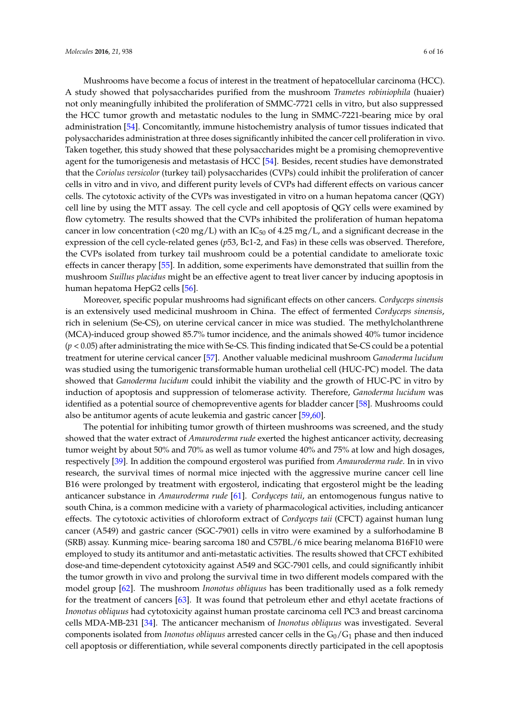Mushrooms have become a focus of interest in the treatment of hepatocellular carcinoma (HCC). A study showed that polysaccharides purified from the mushroom *Trametes robiniophila* (huaier) not only meaningfully inhibited the proliferation of SMMC-7721 cells in vitro, but also suppressed the HCC tumor growth and metastatic nodules to the lung in SMMC-7221-bearing mice by oral administration [\[54\]](#page-12-10). Concomitantly, immune histochemistry analysis of tumor tissues indicated that polysaccharides administration at three doses significantly inhibited the cancer cell proliferation in vivo. Taken together, this study showed that these polysaccharides might be a promising chemopreventive agent for the tumorigenesis and metastasis of HCC [\[54\]](#page-12-10). Besides, recent studies have demonstrated that the *Coriolus versicolor* (turkey tail) polysaccharides (CVPs) could inhibit the proliferation of cancer cells in vitro and in vivo, and different purity levels of CVPs had different effects on various cancer cells. The cytotoxic activity of the CVPs was investigated in vitro on a human hepatoma cancer (QGY) cell line by using the MTT assay. The cell cycle and cell apoptosis of QGY cells were examined by flow cytometry. The results showed that the CVPs inhibited the proliferation of human hepatoma cancer in low concentration (<20 mg/L) with an  $IC_{50}$  of 4.25 mg/L, and a significant decrease in the expression of the cell cycle-related genes (*p*53, Bc1-2, and Fas) in these cells was observed. Therefore, the CVPs isolated from turkey tail mushroom could be a potential candidate to ameliorate toxic effects in cancer therapy [\[55\]](#page-12-11). In addition, some experiments have demonstrated that suillin from the mushroom *Suillus placidus* might be an effective agent to treat liver cancer by inducing apoptosis in human hepatoma HepG2 cells [\[56\]](#page-12-12).

Moreover, specific popular mushrooms had significant effects on other cancers. *Cordyceps sinensis* is an extensively used medicinal mushroom in China. The effect of fermented *Cordyceps sinensis*, rich in selenium (Se-CS), on uterine cervical cancer in mice was studied. The methylcholanthrene (MCA)-induced group showed 85.7% tumor incidence, and the animals showed 40% tumor incidence (*p* < 0.05) after administrating the mice with Se-CS. This finding indicated that Se-CS could be a potential treatment for uterine cervical cancer [\[57\]](#page-12-13). Another valuable medicinal mushroom *Ganoderma lucidum* was studied using the tumorigenic transformable human urothelial cell (HUC-PC) model. The data showed that *Ganoderma lucidum* could inhibit the viability and the growth of HUC-PC in vitro by induction of apoptosis and suppression of telomerase activity. Therefore, *Ganoderma lucidum* was identified as a potential source of chemopreventive agents for bladder cancer [\[58\]](#page-12-14). Mushrooms could also be antitumor agents of acute leukemia and gastric cancer [\[59](#page-12-15)[,60\]](#page-12-16).

The potential for inhibiting tumor growth of thirteen mushrooms was screened, and the study showed that the water extract of *Amauroderma rude* exerted the highest anticancer activity, decreasing tumor weight by about 50% and 70% as well as tumor volume 40% and 75% at low and high dosages, respectively [\[39\]](#page-11-16). In addition the compound ergosterol was purified from *Amauroderma rude*. In in vivo research, the survival times of normal mice injected with the aggressive murine cancer cell line B16 were prolonged by treatment with ergosterol, indicating that ergosterol might be the leading anticancer substance in *Amauroderma rude* [\[61\]](#page-13-0). *Cordyceps taii*, an entomogenous fungus native to south China, is a common medicine with a variety of pharmacological activities, including anticancer effects. The cytotoxic activities of chloroform extract of *Cordyceps taii* (CFCT) against human lung cancer (A549) and gastric cancer (SGC-7901) cells in vitro were examined by a sulforhodamine B (SRB) assay. Kunming mice- bearing sarcoma 180 and C57BL/6 mice bearing melanoma B16F10 were employed to study its antitumor and anti-metastatic activities. The results showed that CFCT exhibited dose-and time-dependent cytotoxicity against A549 and SGC-7901 cells, and could significantly inhibit the tumor growth in vivo and prolong the survival time in two different models compared with the model group [\[62\]](#page-13-1). The mushroom *Inonotus obliquus* has been traditionally used as a folk remedy for the treatment of cancers [\[63\]](#page-13-2). It was found that petroleum ether and ethyl acetate fractions of *Inonotus obliquus* had cytotoxicity against human prostate carcinoma cell PC3 and breast carcinoma cells MDA-MB-231 [\[34\]](#page-11-11). The anticancer mechanism of *Inonotus obliquus* was investigated. Several components isolated from *Inonotus obliquus* arrested cancer cells in the  $G_0/G_1$  phase and then induced cell apoptosis or differentiation, while several components directly participated in the cell apoptosis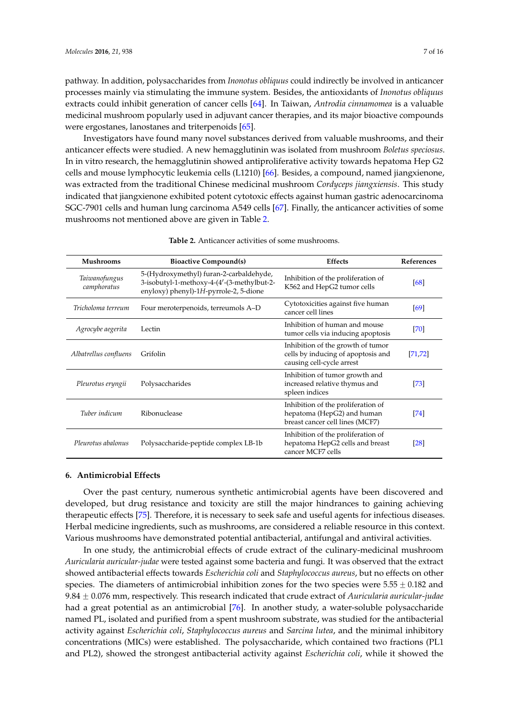pathway. In addition, polysaccharides from *Inonotus obliquus* could indirectly be involved in anticancer processes mainly via stimulating the immune system. Besides, the antioxidants of *Inonotus obliquus* extracts could inhibit generation of cancer cells [\[64\]](#page-13-3). In Taiwan, *Antrodia cinnamomea* is a valuable medicinal mushroom popularly used in adjuvant cancer therapies, and its major bioactive compounds were ergostanes, lanostanes and triterpenoids [\[65\]](#page-13-4).

Investigators have found many novel substances derived from valuable mushrooms, and their anticancer effects were studied. A new hemagglutinin was isolated from mushroom *Boletus speciosus*. In in vitro research, the hemagglutinin showed antiproliferative activity towards hepatoma Hep G2 cells and mouse lymphocytic leukemia cells (L1210) [\[66\]](#page-13-5). Besides, a compound, named jiangxienone, was extracted from the traditional Chinese medicinal mushroom *Cordyceps jiangxiensis*. This study indicated that jiangxienone exhibited potent cytotoxic effects against human gastric adenocarcinoma SGC-7901 cells and human lung carcinoma A549 cells [\[67\]](#page-13-6). Finally, the anticancer activities of some mushrooms not mentioned above are given in Table [2.](#page-6-0)

<span id="page-6-0"></span>

| <b>Mushrooms</b>             | <b>Bioactive Compound(s)</b>                                                                                                    | <b>Effects</b>                                                                                       | <b>References</b> |
|------------------------------|---------------------------------------------------------------------------------------------------------------------------------|------------------------------------------------------------------------------------------------------|-------------------|
| Taiwanofungus<br>camphoratus | 5-(Hydroxymethyl) furan-2-carbaldehyde,<br>3-isobutyl-1-methoxy-4-(4'-(3-methylbut-2-<br>enyloxy) phenyl)-1H-pyrrole-2, 5-dione | Inhibition of the proliferation of<br>K562 and HepG2 tumor cells                                     | [68]              |
| Tricholoma terreum           | Four meroterpenoids, terreumols A-D                                                                                             | Cytotoxicities against five human<br>cancer cell lines                                               | [69]              |
| Agrocybe aegerita            | Lectin                                                                                                                          | Inhibition of human and mouse<br>tumor cells via inducing apoptosis                                  | [70]              |
| Albatrellus confluens        | Grifolin                                                                                                                        | Inhibition of the growth of tumor<br>cells by inducing of apoptosis and<br>causing cell-cycle arrest | [71, 72]          |
| Pleurotus eryngii            | Polysaccharides                                                                                                                 | Inhibition of tumor growth and<br>increased relative thymus and<br>spleen indices                    | [73]              |
| Tuber indicum                | Ribonuclease                                                                                                                    | Inhibition of the proliferation of<br>hepatoma (HepG2) and human<br>breast cancer cell lines (MCF7)  | [74]              |
| Pleurotus abalonus           | Polysaccharide-peptide complex LB-1b                                                                                            | Inhibition of the proliferation of<br>hepatoma HepG2 cells and breast<br>cancer MCF7 cells           | $\left[28\right]$ |

#### **6. Antimicrobial Effects**

Over the past century, numerous synthetic antimicrobial agents have been discovered and developed, but drug resistance and toxicity are still the major hindrances to gaining achieving therapeutic effects [\[75\]](#page-13-14). Therefore, it is necessary to seek safe and useful agents for infectious diseases. Herbal medicine ingredients, such as mushrooms, are considered a reliable resource in this context. Various mushrooms have demonstrated potential antibacterial, antifungal and antiviral activities.

In one study, the antimicrobial effects of crude extract of the culinary-medicinal mushroom *Auricularia auricular-judae* were tested against some bacteria and fungi. It was observed that the extract showed antibacterial effects towards *Escherichia coli* and *Staphylococcus aureus*, but no effects on other species. The diameters of antimicrobial inhibition zones for the two species were  $5.55 + 0.182$  and 9.84 ˘ 0.076 mm, respectively. This research indicated that crude extract of *Auricularia auricular-judae* had a great potential as an antimicrobial [\[76\]](#page-13-15). In another study, a water-soluble polysaccharide named PL, isolated and purified from a spent mushroom substrate, was studied for the antibacterial activity against *Escherichia coli*, *Staphylococcus aureus* and *Sarcina lutea*, and the minimal inhibitory concentrations (MICs) were established. The polysaccharide, which contained two fractions (PL1 and PL2), showed the strongest antibacterial activity against *Escherichia coli*, while it showed the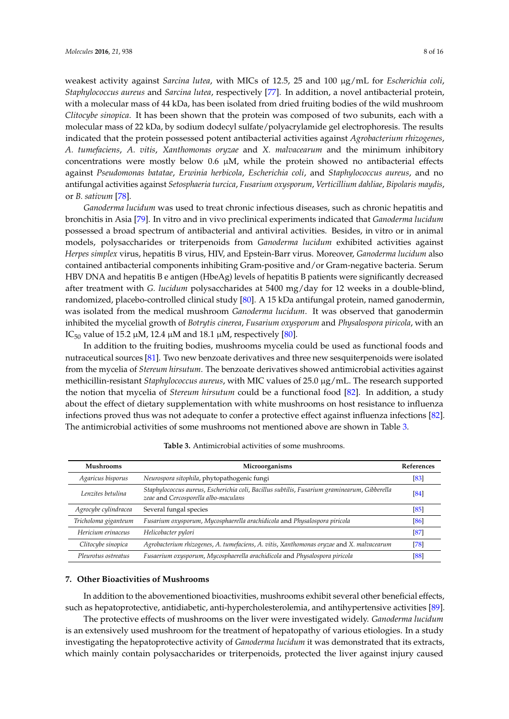weakest activity against *Sarcina lutea*, with MICs of 12.5, 25 and 100 µg/mL for *Escherichia coli*, *Staphylococcus aureus* and *Sarcina lutea*, respectively [\[77\]](#page-13-16). In addition, a novel antibacterial protein, with a molecular mass of 44 kDa, has been isolated from dried fruiting bodies of the wild mushroom *Clitocybe sinopica*. It has been shown that the protein was composed of two subunits, each with a molecular mass of 22 kDa, by sodium dodecyl sulfate/polyacrylamide gel electrophoresis. The results indicated that the protein possessed potent antibacterial activities against *Agrobacterium rhizogenes*, *A. tumefaciens*, *A. vitis*, *Xanthomonas oryzae* and *X. malvacearum* and the minimum inhibitory concentrations were mostly below  $0.6 \mu M$ , while the protein showed no antibacterial effects against *Pseudomonas batatae*, *Erwinia herbicola*, *Escherichia coli*, and *Staphylococcus aureus*, and no antifungal activities against *Setosphaeria turcica*, *Fusarium oxysporum*, *Verticillium dahliae*, *Bipolaris maydis*, or *B. sativum* [\[78\]](#page-13-17).

*Ganoderma lucidum* was used to treat chronic infectious diseases, such as chronic hepatitis and bronchitis in Asia [\[79\]](#page-14-0). In vitro and in vivo preclinical experiments indicated that *Ganoderma lucidum* possessed a broad spectrum of antibacterial and antiviral activities. Besides, in vitro or in animal models, polysaccharides or triterpenoids from *Ganoderma lucidum* exhibited activities against *Herpes simplex* virus, hepatitis B virus, HIV, and Epstein-Barr virus. Moreover, *Ganoderma lucidum* also contained antibacterial components inhibiting Gram-positive and/or Gram-negative bacteria. Serum HBV DNA and hepatitis B e antigen (HbeAg) levels of hepatitis B patients were significantly decreased after treatment with *G. lucidum* polysaccharides at 5400 mg/day for 12 weeks in a double-blind, randomized, placebo-controlled clinical study [\[80\]](#page-14-1). A 15 kDa antifungal protein, named ganodermin, was isolated from the medical mushroom *Ganoderma lucidum*. It was observed that ganodermin inhibited the mycelial growth of *Botrytis cinerea*, *Fusarium oxysporum* and *Physalospora piricola*, with an IC<sub>50</sub> value of 15.2  $\mu$ M, 12.4  $\mu$ M and 18.1  $\mu$ M, respectively [\[80\]](#page-14-1).

In addition to the fruiting bodies, mushrooms mycelia could be used as functional foods and nutraceutical sources [\[81\]](#page-14-2). Two new benzoate derivatives and three new sesquiterpenoids were isolated from the mycelia of *Stereum hirsutum*. The benzoate derivatives showed antimicrobial activities against methicillin-resistant *Staphylococcus aureus*, with MIC values of 25.0 µg/mL. The research supported the notion that mycelia of *Stereum hirsutum* could be a functional food [\[82\]](#page-14-3). In addition, a study about the effect of dietary supplementation with white mushrooms on host resistance to influenza infections proved thus was not adequate to confer a protective effect against influenza infections [\[82\]](#page-14-3). The antimicrobial activities of some mushrooms not mentioned above are shown in Table [3.](#page-7-0)

<span id="page-7-0"></span>

| <b>Mushrooms</b>     | Microorganisms                                                                                                                       | <b>References</b> |
|----------------------|--------------------------------------------------------------------------------------------------------------------------------------|-------------------|
| Agaricus bisporus    | Neurospora sitophila, phytopathogenic fungi                                                                                          | [83]              |
| Lenzites betulina    | Staphylococcus aureus, Escherichia coli, Bacillus subtilis, Fusarium graminearum, Gibberella<br>zeae and Cercosporella albo-maculans | [84]              |
| Agrocybe cylindracea | Several fungal species                                                                                                               | [85]              |
| Tricholoma giganteum | Fusarium oxysporum, Mycosphaerella arachidicola and Physalospora piricola                                                            | [86]              |
| Hericium erinaceus   | Helicobacter pylori                                                                                                                  | [87]              |
| Clitocybe sinopica   | Agrobacterium rhizogenes, A. tumefaciens, A. vitis, Xanthomonas oryzae and X. malvacearum                                            | [78]              |
| Pleurotus ostreatus  | Fusaerium oxysporum, Mycosphaerella arachidicola and Physalospora piricola                                                           | [88]              |

**Table 3.** Antimicrobial activities of some mushrooms.

#### **7. Other Bioactivities of Mushrooms**

In addition to the abovementioned bioactivities, mushrooms exhibit several other beneficial effects, such as hepatoprotective, antidiabetic, anti-hypercholesterolemia, and antihypertensive activities [\[89\]](#page-14-10).

The protective effects of mushrooms on the liver were investigated widely. *Ganoderma lucidum* is an extensively used mushroom for the treatment of hepatopathy of various etiologies. In a study investigating the hepatoprotective activity of *Ganoderma lucidum* it was demonstrated that its extracts, which mainly contain polysaccharides or triterpenoids, protected the liver against injury caused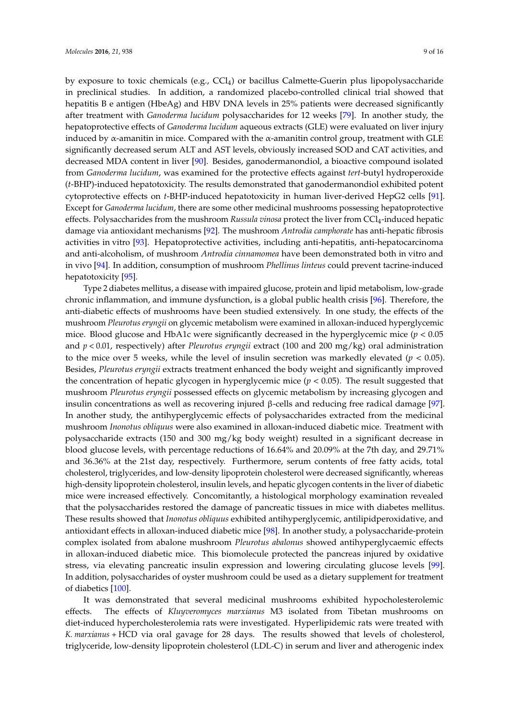by exposure to toxic chemicals (e.g., CCl4) or bacillus Calmette-Guerin plus lipopolysaccharide in preclinical studies. In addition, a randomized placebo-controlled clinical trial showed that hepatitis B e antigen (HbeAg) and HBV DNA levels in 25% patients were decreased significantly after treatment with *Ganoderma lucidum* polysaccharides for 12 weeks [\[79\]](#page-14-0). In another study, the hepatoprotective effects of *Ganoderma lucidum* aqueous extracts (GLE) were evaluated on liver injury induced by  $\alpha$ -amanitin in mice. Compared with the  $\alpha$ -amanitin control group, treatment with GLE significantly decreased serum ALT and AST levels, obviously increased SOD and CAT activities, and decreased MDA content in liver [\[90\]](#page-14-11). Besides, ganodermanondiol, a bioactive compound isolated from *Ganoderma lucidum*, was examined for the protective effects against *tert*-butyl hydroperoxide (*t*-BHP)-induced hepatotoxicity. The results demonstrated that ganodermanondiol exhibited potent cytoprotective effects on *t*-BHP-induced hepatotoxicity in human liver-derived HepG2 cells [\[91\]](#page-14-12). Except for *Ganoderma lucidum*, there are some other medicinal mushrooms possessing hepatoprotective effects. Polysaccharides from the mushroom *Russula vinosa* protect the liver from CCl4-induced hepatic damage via antioxidant mechanisms [\[92\]](#page-14-13). The mushroom *Antrodia camphorate* has anti-hepatic fibrosis activities in vitro [\[93\]](#page-14-14). Hepatoprotective activities, including anti-hepatitis, anti-hepatocarcinoma and anti-alcoholism, of mushroom *Antrodia cinnamomea* have been demonstrated both in vitro and in vivo [\[94\]](#page-14-15). In addition, consumption of mushroom *Phellinus linteus* could prevent tacrine-induced hepatotoxicity [\[95\]](#page-14-16).

Type 2 diabetes mellitus, a disease with impaired glucose, protein and lipid metabolism, low-grade chronic inflammation, and immune dysfunction, is a global public health crisis [\[96\]](#page-14-17). Therefore, the anti-diabetic effects of mushrooms have been studied extensively. In one study, the effects of the mushroom *Pleurotus eryngii* on glycemic metabolism were examined in alloxan-induced hyperglycemic mice. Blood glucose and HbA1c were significantly decreased in the hyperglycemic mice (*p* < 0.05 and *p* < 0.01, respectively) after *Pleurotus eryngii* extract (100 and 200 mg/kg) oral administration to the mice over 5 weeks, while the level of insulin secretion was markedly elevated  $(p < 0.05)$ . Besides, *Pleurotus eryngii* extracts treatment enhanced the body weight and significantly improved the concentration of hepatic glycogen in hyperglycemic mice (*p* < 0.05). The result suggested that mushroom *Pleurotus eryngii* possessed effects on glycemic metabolism by increasing glycogen and insulin concentrations as well as recovering injured β-cells and reducing free radical damage [\[97\]](#page-14-18). In another study, the antihyperglycemic effects of polysaccharides extracted from the medicinal mushroom *Inonotus obliquus* were also examined in alloxan-induced diabetic mice. Treatment with polysaccharide extracts (150 and 300 mg/kg body weight) resulted in a significant decrease in blood glucose levels, with percentage reductions of 16.64% and 20.09% at the 7th day, and 29.71% and 36.36% at the 21st day, respectively. Furthermore, serum contents of free fatty acids, total cholesterol, triglycerides, and low-density lipoprotein cholesterol were decreased significantly, whereas high-density lipoprotein cholesterol, insulin levels, and hepatic glycogen contents in the liver of diabetic mice were increased effectively. Concomitantly, a histological morphology examination revealed that the polysaccharides restored the damage of pancreatic tissues in mice with diabetes mellitus. These results showed that *Inonotus obliquus* exhibited antihyperglycemic, antilipidperoxidative, and antioxidant effects in alloxan-induced diabetic mice [\[98\]](#page-15-0). In another study, a polysaccharide-protein complex isolated from abalone mushroom *Pleurotus abalonus* showed antihyperglycaemic effects in alloxan-induced diabetic mice. This biomolecule protected the pancreas injured by oxidative stress, via elevating pancreatic insulin expression and lowering circulating glucose levels [\[99\]](#page-15-1). In addition, polysaccharides of oyster mushroom could be used as a dietary supplement for treatment of diabetics [\[100\]](#page-15-2).

It was demonstrated that several medicinal mushrooms exhibited hypocholesterolemic effects. The effects of *Kluyveromyces marxianus* M3 isolated from Tibetan mushrooms on diet-induced hypercholesterolemia rats were investigated. Hyperlipidemic rats were treated with *K. marxianus* + HCD via oral gavage for 28 days. The results showed that levels of cholesterol, triglyceride, low-density lipoprotein cholesterol (LDL-C) in serum and liver and atherogenic index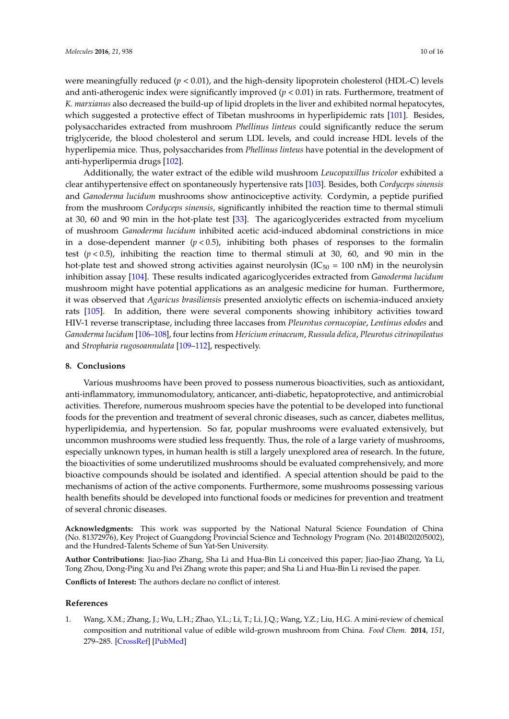were meaningfully reduced  $(p < 0.01)$ , and the high-density lipoprotein cholesterol (HDL-C) levels and anti-atherogenic index were significantly improved (*p* < 0.01) in rats. Furthermore, treatment of *K. marxianus* also decreased the build-up of lipid droplets in the liver and exhibited normal hepatocytes, which suggested a protective effect of Tibetan mushrooms in hyperlipidemic rats [\[101\]](#page-15-3). Besides, polysaccharides extracted from mushroom *Phellinus linteus* could significantly reduce the serum triglyceride, the blood cholesterol and serum LDL levels, and could increase HDL levels of the hyperlipemia mice. Thus, polysaccharides from *Phellinus linteus* have potential in the development of anti-hyperlipermia drugs [\[102\]](#page-15-4).

Additionally, the water extract of the edible wild mushroom *Leucopaxillus tricolor* exhibited a clear antihypertensive effect on spontaneously hypertensive rats [\[103\]](#page-15-5). Besides, both *Cordyceps sinensis* and *Ganoderma lucidum* mushrooms show antinociceptive activity. Cordymin, a peptide purified from the mushroom *Cordyceps sinensis*, significantly inhibited the reaction time to thermal stimuli at 30, 60 and 90 min in the hot-plate test [\[33\]](#page-11-10). The agaricoglycerides extracted from mycelium of mushroom *Ganoderma lucidum* inhibited acetic acid-induced abdominal constrictions in mice in a dose-dependent manner  $(p < 0.5)$ , inhibiting both phases of responses to the formalin test  $(p < 0.5)$ , inhibiting the reaction time to thermal stimuli at 30, 60, and 90 min in the hot-plate test and showed strong activities against neurolysin  $(IC_{50} = 100 \text{ nM})$  in the neurolysin inhibition assay [\[104\]](#page-15-6). These results indicated agaricoglycerides extracted from *Ganoderma lucidum* mushroom might have potential applications as an analgesic medicine for human. Furthermore, it was observed that *Agaricus brasiliensis* presented anxiolytic effects on ischemia-induced anxiety rats [\[105\]](#page-15-7). In addition, there were several components showing inhibitory activities toward HIV-1 reverse transcriptase, including three laccases from *Pleurotus cornucopiae*, *Lentinus edodes* and *Ganoderma lucidum* [\[106–](#page-15-8)[108\]](#page-15-9), four lectins from *Hericium erinaceum*, *Russula delica*, *Pleurotus citrinopileatus* and *Stropharia rugosoannulata* [\[109–](#page-15-10)[112\]](#page-15-11), respectively.

#### **8. Conclusions**

Various mushrooms have been proved to possess numerous bioactivities, such as antioxidant, anti-inflammatory, immunomodulatory, anticancer, anti-diabetic, hepatoprotective, and antimicrobial activities. Therefore, numerous mushroom species have the potential to be developed into functional foods for the prevention and treatment of several chronic diseases, such as cancer, diabetes mellitus, hyperlipidemia, and hypertension. So far, popular mushrooms were evaluated extensively, but uncommon mushrooms were studied less frequently. Thus, the role of a large variety of mushrooms, especially unknown types, in human health is still a largely unexplored area of research. In the future, the bioactivities of some underutilized mushrooms should be evaluated comprehensively, and more bioactive compounds should be isolated and identified. A special attention should be paid to the mechanisms of action of the active components. Furthermore, some mushrooms possessing various health benefits should be developed into functional foods or medicines for prevention and treatment of several chronic diseases.

**Acknowledgments:** This work was supported by the National Natural Science Foundation of China (No. 81372976), Key Project of Guangdong Provincial Science and Technology Program (No. 2014B020205002), and the Hundred-Talents Scheme of Sun Yat-Sen University.

**Author Contributions:** Jiao-Jiao Zhang, Sha Li and Hua-Bin Li conceived this paper; Jiao-Jiao Zhang, Ya Li, Tong Zhou, Dong-Ping Xu and Pei Zhang wrote this paper; and Sha Li and Hua-Bin Li revised the paper.

**Conflicts of Interest:** The authors declare no conflict of interest.

#### **References**

<span id="page-9-0"></span>1. Wang, X.M.; Zhang, J.; Wu, L.H.; Zhao, Y.L.; Li, T.; Li, J.Q.; Wang, Y.Z.; Liu, H.G. A mini-review of chemical composition and nutritional value of edible wild-grown mushroom from China. *Food Chem.* **2014**, *151*, 279–285. [\[CrossRef\]](http://dx.doi.org/10.1016/j.foodchem.2013.11.062) [\[PubMed\]](http://www.ncbi.nlm.nih.gov/pubmed/24423533)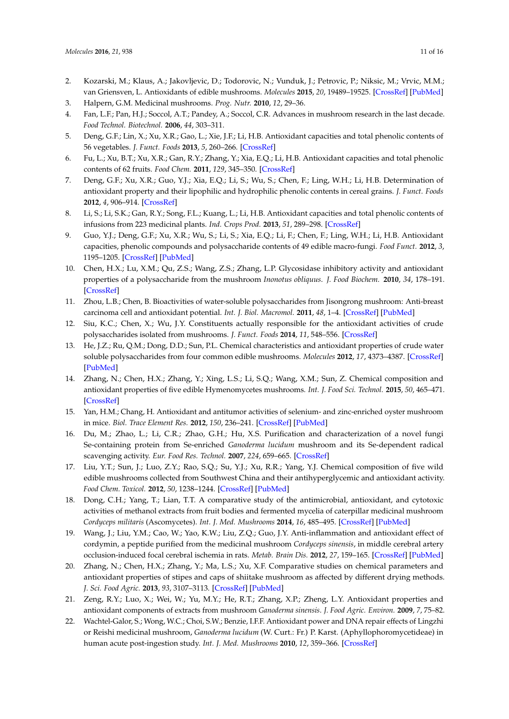- <span id="page-10-0"></span>2. Kozarski, M.; Klaus, A.; Jakovljevic, D.; Todorovic, N.; Vunduk, J.; Petrovic, P.; Niksic, M.; Vrvic, M.M.; van Griensven, L. Antioxidants of edible mushrooms. *Molecules* **2015**, *20*, 19489–19525. [\[CrossRef\]](http://dx.doi.org/10.3390/molecules201019489) [\[PubMed\]](http://www.ncbi.nlm.nih.gov/pubmed/26516828)
- <span id="page-10-1"></span>3. Halpern, G.M. Medicinal mushrooms. *Prog. Nutr.* **2010**, *12*, 29–36.
- <span id="page-10-2"></span>4. Fan, L.F.; Pan, H.J.; Soccol, A.T.; Pandey, A.; Soccol, C.R. Advances in mushroom research in the last decade. *Food Technol. Biotechnol.* **2006**, *44*, 303–311.
- <span id="page-10-3"></span>5. Deng, G.F.; Lin, X.; Xu, X.R.; Gao, L.; Xie, J.F.; Li, H.B. Antioxidant capacities and total phenolic contents of 56 vegetables. *J. Funct. Foods* **2013**, *5*, 260–266. [\[CrossRef\]](http://dx.doi.org/10.1016/j.jff.2012.10.015)
- 6. Fu, L.; Xu, B.T.; Xu, X.R.; Gan, R.Y.; Zhang, Y.; Xia, E.Q.; Li, H.B. Antioxidant capacities and total phenolic contents of 62 fruits. *Food Chem.* **2011**, *129*, 345–350. [\[CrossRef\]](http://dx.doi.org/10.1016/j.foodchem.2011.04.079)
- 7. Deng, G.F.; Xu, X.R.; Guo, Y.J.; Xia, E.Q.; Li, S.; Wu, S.; Chen, F.; Ling, W.H.; Li, H.B. Determination of antioxidant property and their lipophilic and hydrophilic phenolic contents in cereal grains. *J. Funct. Foods* **2012**, *4*, 906–914. [\[CrossRef\]](http://dx.doi.org/10.1016/j.jff.2012.06.008)
- 8. Li, S.; Li, S.K.; Gan, R.Y.; Song, F.L.; Kuang, L.; Li, H.B. Antioxidant capacities and total phenolic contents of infusions from 223 medicinal plants. *Ind. Crops Prod.* **2013**, *51*, 289–298. [\[CrossRef\]](http://dx.doi.org/10.1016/j.indcrop.2013.09.017)
- <span id="page-10-4"></span>9. Guo, Y.J.; Deng, G.F.; Xu, X.R.; Wu, S.; Li, S.; Xia, E.Q.; Li, F.; Chen, F.; Ling, W.H.; Li, H.B. Antioxidant capacities, phenolic compounds and polysaccharide contents of 49 edible macro-fungi. *Food Funct.* **2012**, *3*, 1195–1205. [\[CrossRef\]](http://dx.doi.org/10.1039/c2fo30110e) [\[PubMed\]](http://www.ncbi.nlm.nih.gov/pubmed/22868715)
- <span id="page-10-5"></span>10. Chen, H.X.; Lu, X.M.; Qu, Z.S.; Wang, Z.S.; Zhang, L.P. Glycosidase inhibitory activity and antioxidant properties of a polysaccharide from the mushroom *Inonotus obliquus*. *J. Food Biochem.* **2010**, *34*, 178–191. [\[CrossRef\]](http://dx.doi.org/10.1111/j.1745-4514.2009.00322.x)
- <span id="page-10-6"></span>11. Zhou, L.B.; Chen, B. Bioactivities of water-soluble polysaccharides from Jisongrong mushroom: Anti-breast carcinoma cell and antioxidant potential. *Int. J. Biol. Macromol.* **2011**, *48*, 1–4. [\[CrossRef\]](http://dx.doi.org/10.1016/j.ijbiomac.2010.09.004) [\[PubMed\]](http://www.ncbi.nlm.nih.gov/pubmed/20850472)
- <span id="page-10-7"></span>12. Siu, K.C.; Chen, X.; Wu, J.Y. Constituents actually responsible for the antioxidant activities of crude polysaccharides isolated from mushrooms. *J. Funct. Foods* **2014**, *11*, 548–556. [\[CrossRef\]](http://dx.doi.org/10.1016/j.jff.2014.08.012)
- <span id="page-10-8"></span>13. He, J.Z.; Ru, Q.M.; Dong, D.D.; Sun, P.L. Chemical characteristics and antioxidant properties of crude water soluble polysaccharides from four common edible mushrooms. *Molecules* **2012**, *17*, 4373–4387. [\[CrossRef\]](http://dx.doi.org/10.3390/molecules17044373) [\[PubMed\]](http://www.ncbi.nlm.nih.gov/pubmed/22495548)
- <span id="page-10-9"></span>14. Zhang, N.; Chen, H.X.; Zhang, Y.; Xing, L.S.; Li, S.Q.; Wang, X.M.; Sun, Z. Chemical composition and antioxidant properties of five edible Hymenomycetes mushrooms. *Int. J. Food Sci. Technol.* **2015**, *50*, 465–471. [\[CrossRef\]](http://dx.doi.org/10.1111/ijfs.12642)
- <span id="page-10-10"></span>15. Yan, H.M.; Chang, H. Antioxidant and antitumor activities of selenium- and zinc-enriched oyster mushroom in mice. *Biol. Trace Element Res.* **2012**, *150*, 236–241. [\[CrossRef\]](http://dx.doi.org/10.1007/s12011-012-9454-1) [\[PubMed\]](http://www.ncbi.nlm.nih.gov/pubmed/22639385)
- <span id="page-10-11"></span>16. Du, M.; Zhao, L.; Li, C.R.; Zhao, G.H.; Hu, X.S. Purification and characterization of a novel fungi Se-containing protein from Se-enriched *Ganoderma lucidum* mushroom and its Se-dependent radical scavenging activity. *Eur. Food Res. Technol.* **2007**, *224*, 659–665. [\[CrossRef\]](http://dx.doi.org/10.1007/s00217-006-0355-4)
- <span id="page-10-12"></span>17. Liu, Y.T.; Sun, J.; Luo, Z.Y.; Rao, S.Q.; Su, Y.J.; Xu, R.R.; Yang, Y.J. Chemical composition of five wild edible mushrooms collected from Southwest China and their antihyperglycemic and antioxidant activity. *Food Chem. Toxicol.* **2012**, *50*, 1238–1244. [\[CrossRef\]](http://dx.doi.org/10.1016/j.fct.2012.01.023) [\[PubMed\]](http://www.ncbi.nlm.nih.gov/pubmed/22300772)
- <span id="page-10-13"></span>18. Dong, C.H.; Yang, T.; Lian, T.T. A comparative study of the antimicrobial, antioxidant, and cytotoxic activities of methanol extracts from fruit bodies and fermented mycelia of caterpillar medicinal mushroom *Cordyceps militaris* (Ascomycetes). *Int. J. Med. Mushrooms* **2014**, *16*, 485–495. [\[CrossRef\]](http://dx.doi.org/10.1615/IntJMedMushrooms.v16.i5.70) [\[PubMed\]](http://www.ncbi.nlm.nih.gov/pubmed/25271983)
- <span id="page-10-14"></span>19. Wang, J.; Liu, Y.M.; Cao, W.; Yao, K.W.; Liu, Z.Q.; Guo, J.Y. Anti-inflammation and antioxidant effect of cordymin, a peptide purified from the medicinal mushroom *Cordyceps sinensis*, in middle cerebral artery occlusion-induced focal cerebral ischemia in rats. *Metab. Brain Dis.* **2012**, *27*, 159–165. [\[CrossRef\]](http://dx.doi.org/10.1007/s11011-012-9282-1) [\[PubMed\]](http://www.ncbi.nlm.nih.gov/pubmed/22327557)
- <span id="page-10-15"></span>20. Zhang, N.; Chen, H.X.; Zhang, Y.; Ma, L.S.; Xu, X.F. Comparative studies on chemical parameters and antioxidant properties of stipes and caps of shiitake mushroom as affected by different drying methods. *J. Sci. Food Agric.* **2013**, *93*, 3107–3113. [\[CrossRef\]](http://dx.doi.org/10.1002/jsfa.6151) [\[PubMed\]](http://www.ncbi.nlm.nih.gov/pubmed/23553427)
- <span id="page-10-16"></span>21. Zeng, R.Y.; Luo, X.; Wei, W.; Yu, M.Y.; He, R.T.; Zhang, X.P.; Zheng, L.Y. Antioxidant properties and antioxidant components of extracts from mushroom *Ganoderma sinensis*. *J. Food Agric. Environ.* **2009**, *7*, 75–82.
- <span id="page-10-17"></span>22. Wachtel-Galor, S.; Wong, W.C.; Choi, S.W.; Benzie, I.F.F. Antioxidant power and DNA repair effects of Lingzhi or Reishi medicinal mushroom, *Ganoderma lucidum* (W. Curt.: Fr.) P. Karst. (Aphyllophoromycetideae) in human acute post-ingestion study. *Int. J. Med. Mushrooms* **2010**, *12*, 359–366. [\[CrossRef\]](http://dx.doi.org/10.1615/IntJMedMushr.v12.i4.30)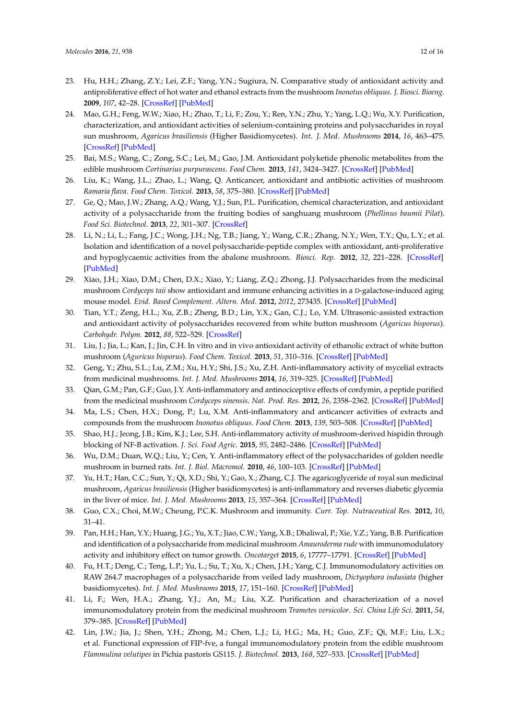- <span id="page-11-0"></span>23. Hu, H.H.; Zhang, Z.Y.; Lei, Z.F.; Yang, Y.N.; Sugiura, N. Comparative study of antioxidant activity and antiproliferative effect of hot water and ethanol extracts from the mushroom *Inonotus obliquus*. *J. Biosci. Bioeng.* **2009**, *107*, 42–28. [\[CrossRef\]](http://dx.doi.org/10.1016/j.jbiosc.2008.09.004) [\[PubMed\]](http://www.ncbi.nlm.nih.gov/pubmed/19147108)
- <span id="page-11-1"></span>24. Mao, G.H.; Feng, W.W.; Xiao, H.; Zhao, T.; Li, F.; Zou, Y.; Ren, Y.N.; Zhu, Y.; Yang, L.Q.; Wu, X.Y. Purification, characterization, and antioxidant activities of selenium-containing proteins and polysaccharides in royal sun mushroom, *Agaricus brasiliensis* (Higher Basidiomycetes). *Int. J. Med. Mushrooms* **2014**, *16*, 463–475. [\[CrossRef\]](http://dx.doi.org/10.1615/IntJMedMushrooms.v16.i5.50) [\[PubMed\]](http://www.ncbi.nlm.nih.gov/pubmed/25271981)
- <span id="page-11-2"></span>25. Bai, M.S.; Wang, C.; Zong, S.C.; Lei, M.; Gao, J.M. Antioxidant polyketide phenolic metabolites from the edible mushroom *Cortinarius purpurascens*. *Food Chem.* **2013**, *141*, 3424–3427. [\[CrossRef\]](http://dx.doi.org/10.1016/j.foodchem.2013.05.099) [\[PubMed\]](http://www.ncbi.nlm.nih.gov/pubmed/23993502)
- <span id="page-11-3"></span>26. Liu, K.; Wang, J.L.; Zhao, L.; Wang, Q. Anticancer, antioxidant and antibiotic activities of mushroom *Ramaria flava*. *Food Chem. Toxicol.* **2013**, *58*, 375–380. [\[CrossRef\]](http://dx.doi.org/10.1016/j.fct.2013.05.001) [\[PubMed\]](http://www.ncbi.nlm.nih.gov/pubmed/23684998)
- <span id="page-11-4"></span>27. Ge, Q.; Mao, J.W.; Zhang, A.Q.; Wang, Y.J.; Sun, P.L. Purification, chemical characterization, and antioxidant activity of a polysaccharide from the fruiting bodies of sanghuang mushroom (*Phellinus baumii Pilat*). *Food Sci. Biotechnol.* **2013**, *22*, 301–307. [\[CrossRef\]](http://dx.doi.org/10.1007/s10068-013-0081-1)
- <span id="page-11-5"></span>28. Li, N.; Li, L.; Fang, J.C.; Wong, J.H.; Ng, T.B.; Jiang, Y.; Wang, C.R.; Zhang, N.Y.; Wen, T.Y.; Qu, L.Y.; et al. Isolation and identification of a novel polysaccharide-peptide complex with antioxidant, anti-proliferative and hypoglycaemic activities from the abalone mushroom. *Biosci. Rep.* **2012**, *32*, 221–228. [\[CrossRef\]](http://dx.doi.org/10.1042/BSR20110012) [\[PubMed\]](http://www.ncbi.nlm.nih.gov/pubmed/21810081)
- <span id="page-11-6"></span>29. Xiao, J.H.; Xiao, D.M.; Chen, D.X.; Xiao, Y.; Liang, Z.Q.; Zhong, J.J. Polysaccharides from the medicinal mushroom *Cordyceps taii* show antioxidant and immune enhancing activities in a D-galactose-induced aging mouse model. *Evid. Based Complement. Altern. Med.* **2012**, *2012*, 273435. [\[CrossRef\]](http://dx.doi.org/10.1155/2012/273435) [\[PubMed\]](http://www.ncbi.nlm.nih.gov/pubmed/22536281)
- <span id="page-11-7"></span>30. Tian, Y.T.; Zeng, H.L.; Xu, Z.B.; Zheng, B.D.; Lin, Y.X.; Gan, C.J.; Lo, Y.M. Ultrasonic-assisted extraction and antioxidant activity of polysaccharides recovered from white button mushroom (*Agaricus bisporus*). *Carbohydr. Polym.* **2012**, *88*, 522–529. [\[CrossRef\]](http://dx.doi.org/10.1016/j.carbpol.2011.12.042)
- <span id="page-11-8"></span>31. Liu, J.; Jia, L.; Kan, J.; Jin, C.H. In vitro and in vivo antioxidant activity of ethanolic extract of white button mushroom (*Aguricus bisporus*). *Food Chem. Toxicol.* **2013**, *51*, 310–316. [\[CrossRef\]](http://dx.doi.org/10.1016/j.fct.2012.10.014) [\[PubMed\]](http://www.ncbi.nlm.nih.gov/pubmed/23099505)
- <span id="page-11-9"></span>32. Geng, Y.; Zhu, S.L.; Lu, Z.M.; Xu, H.Y.; Shi, J.S.; Xu, Z.H. Anti-inflammatory activity of mycelial extracts from medicinal mushrooms. *Int. J. Med. Mushrooms* **2014**, *16*, 319–325. [\[CrossRef\]](http://dx.doi.org/10.1615/IntJMedMushrooms.v16.i4.20) [\[PubMed\]](http://www.ncbi.nlm.nih.gov/pubmed/25271860)
- <span id="page-11-10"></span>33. Qian, G.M.; Pan, G.F.; Guo, J.Y. Anti-inflammatory and antinociceptive effects of cordymin, a peptide purified from the medicinal mushroom *Cordyceps sinensis*. *Nat. Prod. Res.* **2012**, *26*, 2358–2362. [\[CrossRef\]](http://dx.doi.org/10.1080/14786419.2012.658800) [\[PubMed\]](http://www.ncbi.nlm.nih.gov/pubmed/22348255)
- <span id="page-11-11"></span>34. Ma, L.S.; Chen, H.X.; Dong, P.; Lu, X.M. Anti-inflammatory and anticancer activities of extracts and compounds from the mushroom *Inonotus obliquus*. *Food Chem.* **2013**, *139*, 503–508. [\[CrossRef\]](http://dx.doi.org/10.1016/j.foodchem.2013.01.030) [\[PubMed\]](http://www.ncbi.nlm.nih.gov/pubmed/23561137)
- <span id="page-11-12"></span>35. Shao, H.J.; Jeong, J.B.; Kim, K.J.; Lee, S.H. Anti-inflammatory activity of mushroom-derived hispidin through blocking of NF-B activation. *J. Sci. Food Agric.* **2015**, *95*, 2482–2486. [\[CrossRef\]](http://dx.doi.org/10.1002/jsfa.6978) [\[PubMed\]](http://www.ncbi.nlm.nih.gov/pubmed/25355452)
- <span id="page-11-13"></span>36. Wu, D.M.; Duan, W.Q.; Liu, Y.; Cen, Y. Anti-inflammatory effect of the polysaccharides of golden needle mushroom in burned rats. *Int. J. Biol. Macromol.* **2010**, *46*, 100–103. [\[CrossRef\]](http://dx.doi.org/10.1016/j.ijbiomac.2009.10.013) [\[PubMed\]](http://www.ncbi.nlm.nih.gov/pubmed/19874843)
- <span id="page-11-14"></span>37. Yu, H.T.; Han, C.C.; Sun, Y.; Qi, X.D.; Shi, Y.; Gao, X.; Zhang, C.J. The agaricoglyceride of royal sun medicinal mushroom, *Agaricus brasiliensis* (Higher basidiomycetes) is anti-inflammatory and reverses diabetic glycemia in the liver of mice. *Int. J. Med. Mushrooms* **2013**, *15*, 357–364. [\[CrossRef\]](http://dx.doi.org/10.1615/IntJMedMushr.v15.i4.30) [\[PubMed\]](http://www.ncbi.nlm.nih.gov/pubmed/23796217)
- <span id="page-11-15"></span>38. Guo, C.X.; Choi, M.W.; Cheung, P.C.K. Mushroom and immunity. *Curr. Top. Nutraceutical Res.* **2012**, *10*, 31–41.
- <span id="page-11-16"></span>39. Pan, H.H.; Han, Y.Y.; Huang, J.G.; Yu, X.T.; Jiao, C.W.; Yang, X.B.; Dhaliwal, P.; Xie, Y.Z.; Yang, B.B. Purification and identification of a polysaccharide from medicinal mushroom *Amauroderma rude* with immunomodulatory activity and inhibitory effect on tumor growth. *Oncotarget* **2015**, *6*, 17777–17791. [\[CrossRef\]](http://dx.doi.org/10.18632/oncotarget.4397) [\[PubMed\]](http://www.ncbi.nlm.nih.gov/pubmed/26219260)
- <span id="page-11-17"></span>40. Fu, H.T.; Deng, C.; Teng, L.P.; Yu, L.; Su, T.; Xu, X.; Chen, J.H.; Yang, C.J. Immunomodulatory activities on RAW 264.7 macrophages of a polysaccharide from veiled lady mushroom, *Dictyophora indusiata* (higher basidiomycetes). *Int. J. Med. Mushrooms* **2015**, *17*, 151–160. [\[CrossRef\]](http://dx.doi.org/10.1615/IntJMedMushrooms.v17.i2.60) [\[PubMed\]](http://www.ncbi.nlm.nih.gov/pubmed/25746620)
- <span id="page-11-18"></span>41. Li, F.; Wen, H.A.; Zhang, Y.J.; An, M.; Liu, X.Z. Purification and characterization of a novel immunomodulatory protein from the medicinal mushroom *Trametes versicolor*. *Sci. China Life Sci.* **2011**, *54*, 379–385. [\[CrossRef\]](http://dx.doi.org/10.1007/s11427-011-4153-2) [\[PubMed\]](http://www.ncbi.nlm.nih.gov/pubmed/21373981)
- <span id="page-11-19"></span>42. Lin, J.W.; Jia, J.; Shen, Y.H.; Zhong, M.; Chen, L.J.; Li, H.G.; Ma, H.; Guo, Z.F.; Qi, M.F.; Liu, L.X.; et al. Functional expression of FIP-fve, a fungal immunomodulatory protein from the edible mushroom *Flammulina velutipes* in Pichia pastoris GS115. *J. Biotechnol.* **2013**, *168*, 527–533. [\[CrossRef\]](http://dx.doi.org/10.1016/j.jbiotec.2013.09.013) [\[PubMed\]](http://www.ncbi.nlm.nih.gov/pubmed/24070903)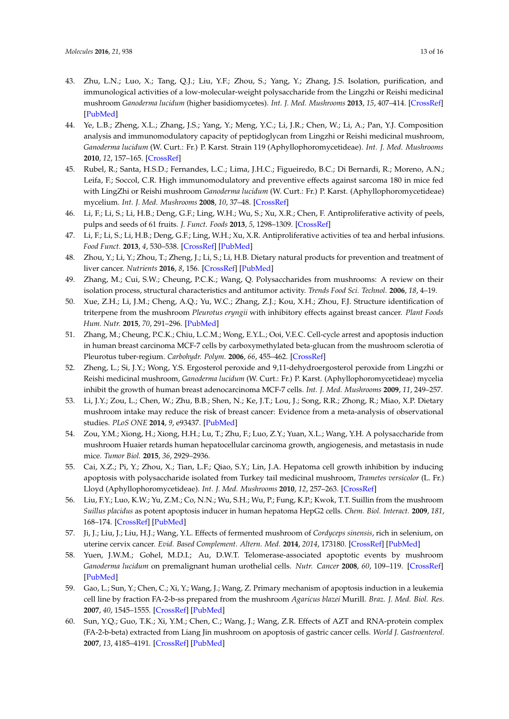- <span id="page-12-0"></span>43. Zhu, L.N.; Luo, X.; Tang, Q.J.; Liu, Y.F.; Zhou, S.; Yang, Y.; Zhang, J.S. Isolation, purification, and immunological activities of a low-molecular-weight polysaccharide from the Lingzhi or Reishi medicinal mushroom *Ganoderma lucidum* (higher basidiomycetes). *Int. J. Med. Mushrooms* **2013**, *15*, 407–414. [\[CrossRef\]](http://dx.doi.org/10.1615/IntJMedMushr.v15.i4.80) [\[PubMed\]](http://www.ncbi.nlm.nih.gov/pubmed/23796222)
- <span id="page-12-1"></span>44. Ye, L.B.; Zheng, X.L.; Zhang, J.S.; Yang, Y.; Meng, Y.C.; Li, J.R.; Chen, W.; Li, A.; Pan, Y.J. Composition analysis and immunomodulatory capacity of peptidoglycan from Lingzhi or Reishi medicinal mushroom, *Ganoderma lucidum* (W. Curt.: Fr.) P. Karst. Strain 119 (Aphyllophoromycetideae). *Int. J. Med. Mushrooms* **2010**, *12*, 157–165. [\[CrossRef\]](http://dx.doi.org/10.1615/IntJMedMushr.v12.i2.60)
- <span id="page-12-2"></span>45. Rubel, R.; Santa, H.S.D.; Fernandes, L.C.; Lima, J.H.C.; Figueiredo, B.C.; Di Bernardi, R.; Moreno, A.N.; Leifa, F.; Soccol, C.R. High immunomodulatory and preventive effects against sarcoma 180 in mice fed with LingZhi or Reishi mushroom *Ganoderma lucidum* (W. Curt.: Fr.) P. Karst. (Aphyllophoromycetideae) mycelium. *Int. J. Med. Mushrooms* **2008**, *10*, 37–48. [\[CrossRef\]](http://dx.doi.org/10.1615/IntJMedMushr.v10.i1.50)
- <span id="page-12-3"></span>46. Li, F.; Li, S.; Li, H.B.; Deng, G.F.; Ling, W.H.; Wu, S.; Xu, X.R.; Chen, F. Antiproliferative activity of peels, pulps and seeds of 61 fruits. *J. Funct. Foods* **2013**, *5*, 1298–1309. [\[CrossRef\]](http://dx.doi.org/10.1016/j.jff.2013.04.016)
- 47. Li, F.; Li, S.; Li, H.B.; Deng, G.F.; Ling, W.H.; Xu, X.R. Antiproliferative activities of tea and herbal infusions. *Food Funct.* **2013**, *4*, 530–538. [\[CrossRef\]](http://dx.doi.org/10.1039/c2fo30252g) [\[PubMed\]](http://www.ncbi.nlm.nih.gov/pubmed/23307138)
- <span id="page-12-4"></span>48. Zhou, Y.; Li, Y.; Zhou, T.; Zheng, J.; Li, S.; Li, H.B. Dietary natural products for prevention and treatment of liver cancer. *Nutrients* **2016**, *8*, 156. [\[CrossRef\]](http://dx.doi.org/10.3390/nu8030156) [\[PubMed\]](http://www.ncbi.nlm.nih.gov/pubmed/26978396)
- <span id="page-12-5"></span>49. Zhang, M.; Cui, S.W.; Cheung, P.C.K.; Wang, Q. Polysaccharides from mushrooms: A review on their isolation process, structural characteristics and antitumor activity. *Trends Food Sci. Technol.* **2006**, *18*, 4–19.
- <span id="page-12-6"></span>50. Xue, Z.H.; Li, J.M.; Cheng, A.Q.; Yu, W.C.; Zhang, Z.J.; Kou, X.H.; Zhou, F.J. Structure identification of triterpene from the mushroom *Pleurotus eryngii* with inhibitory effects against breast cancer. *Plant Foods Hum. Nutr.* **2015**, *70*, 291–296. [\[PubMed\]](http://www.ncbi.nlm.nih.gov/pubmed/26089128)
- <span id="page-12-7"></span>51. Zhang, M.; Cheung, P.C.K.; Chiu, L.C.M.; Wong, E.Y.L.; Ooi, V.E.C. Cell-cycle arrest and apoptosis induction in human breast carcinoma MCF-7 cells by carboxymethylated beta-glucan from the mushroom sclerotia of Pleurotus tuber-regium. *Carbohydr. Polym.* **2006**, *66*, 455–462. [\[CrossRef\]](http://dx.doi.org/10.1016/j.carbpol.2006.03.031)
- <span id="page-12-8"></span>52. Zheng, L.; Si, J.Y.; Wong, Y.S. Ergosterol peroxide and 9,11-dehydroergosterol peroxide from Lingzhi or Reishi medicinal mushroom, *Ganoderma lucidum* (W. Curt.: Fr.) P. Karst. (Aphyllophoromycetideae) mycelia inhibit the growth of human breast adenocarcinoma MCF-7 cells. *Int. J. Med. Mushrooms* **2009**, *11*, 249–257.
- <span id="page-12-9"></span>53. Li, J.Y.; Zou, L.; Chen, W.; Zhu, B.B.; Shen, N.; Ke, J.T.; Lou, J.; Song, R.R.; Zhong, R.; Miao, X.P. Dietary mushroom intake may reduce the risk of breast cancer: Evidence from a meta-analysis of observational studies. *PLoS ONE* **2014**, *9*, e93437. [\[PubMed\]](http://www.ncbi.nlm.nih.gov/pubmed/24691133)
- <span id="page-12-10"></span>54. Zou, Y.M.; Xiong, H.; Xiong, H.H.; Lu, T.; Zhu, F.; Luo, Z.Y.; Yuan, X.L.; Wang, Y.H. A polysaccharide from mushroom Huaier retards human hepatocellular carcinoma growth, angiogenesis, and metastasis in nude mice. *Tumor Biol.* **2015**, *36*, 2929–2936.
- <span id="page-12-11"></span>55. Cai, X.Z.; Pi, Y.; Zhou, X.; Tian, L.F.; Qiao, S.Y.; Lin, J.A. Hepatoma cell growth inhibition by inducing apoptosis with polysaccharide isolated from Turkey tail medicinal mushroom, *Trametes versicolor* (L. Fr.) Lloyd (Aphyllophoromycetideae). *Int. J. Med. Mushrooms* **2010**, *12*, 257–263. [\[CrossRef\]](http://dx.doi.org/10.1615/IntJMedMushr.v12.i3.40)
- <span id="page-12-12"></span>56. Liu, F.Y.; Luo, K.W.; Yu, Z.M.; Co, N.N.; Wu, S.H.; Wu, P.; Fung, K.P.; Kwok, T.T. Suillin from the mushroom *Suillus placidus* as potent apoptosis inducer in human hepatoma HepG2 cells. *Chem. Biol. Interact.* **2009**, *181*, 168–174. [\[CrossRef\]](http://dx.doi.org/10.1016/j.cbi.2009.07.008) [\[PubMed\]](http://www.ncbi.nlm.nih.gov/pubmed/19616521)
- <span id="page-12-13"></span>57. Ji, J.; Liu, J.; Liu, H.J.; Wang, Y.L. Effects of fermented mushroom of *Cordyceps sinensis*, rich in selenium, on uterine cervix cancer. *Evid. Based Complement. Altern. Med.* **2014**, *2014*, 173180. [\[CrossRef\]](http://dx.doi.org/10.1155/2014/173180) [\[PubMed\]](http://www.ncbi.nlm.nih.gov/pubmed/24971145)
- <span id="page-12-14"></span>58. Yuen, J.W.M.; Gohel, M.D.I.; Au, D.W.T. Telomerase-associated apoptotic events by mushroom *Ganoderma lucidum* on premalignant human urothelial cells. *Nutr. Cancer* **2008**, *60*, 109–119. [\[CrossRef\]](http://dx.doi.org/10.1080/01635580701525869) [\[PubMed\]](http://www.ncbi.nlm.nih.gov/pubmed/18444142)
- <span id="page-12-15"></span>59. Gao, L.; Sun, Y.; Chen, C.; Xi, Y.; Wang, J.; Wang, Z. Primary mechanism of apoptosis induction in a leukemia cell line by fraction FA-2-b-ss prepared from the mushroom *Agaricus blazei* Murill. *Braz. J. Med. Biol. Res.* **2007**, *40*, 1545–1555. [\[CrossRef\]](http://dx.doi.org/10.1590/S0100-879X2007001100015) [\[PubMed\]](http://www.ncbi.nlm.nih.gov/pubmed/17934651)
- <span id="page-12-16"></span>60. Sun, Y.Q.; Guo, T.K.; Xi, Y.M.; Chen, C.; Wang, J.; Wang, Z.R. Effects of AZT and RNA-protein complex (FA-2-b-beta) extracted from Liang Jin mushroom on apoptosis of gastric cancer cells. *World J. Gastroenterol.* **2007**, *13*, 4185–4191. [\[CrossRef\]](http://dx.doi.org/10.3748/wjg.v13.i31.4185) [\[PubMed\]](http://www.ncbi.nlm.nih.gov/pubmed/17696246)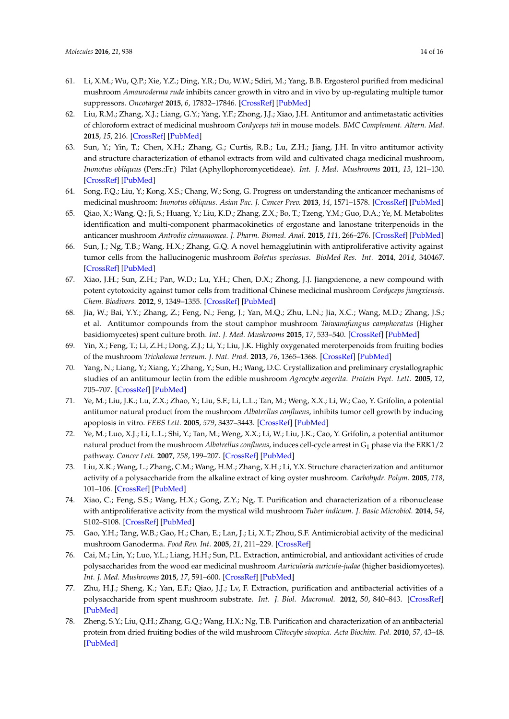- <span id="page-13-0"></span>61. Li, X.M.; Wu, Q.P.; Xie, Y.Z.; Ding, Y.R.; Du, W.W.; Sdiri, M.; Yang, B.B. Ergosterol purified from medicinal mushroom *Amauroderma rude* inhibits cancer growth in vitro and in vivo by up-regulating multiple tumor suppressors. *Oncotarget* **2015**, *6*, 17832–17846. [\[CrossRef\]](http://dx.doi.org/10.18632/oncotarget.4026) [\[PubMed\]](http://www.ncbi.nlm.nih.gov/pubmed/26098777)
- <span id="page-13-1"></span>62. Liu, R.M.; Zhang, X.J.; Liang, G.Y.; Yang, Y.F.; Zhong, J.J.; Xiao, J.H. Antitumor and antimetastatic activities of chloroform extract of medicinal mushroom *Cordyceps taii* in mouse models. *BMC Complement. Altern. Med.* **2015**, *15*, 216. [\[CrossRef\]](http://dx.doi.org/10.1186/s12906-015-0762-9) [\[PubMed\]](http://www.ncbi.nlm.nih.gov/pubmed/26155792)
- <span id="page-13-2"></span>63. Sun, Y.; Yin, T.; Chen, X.H.; Zhang, G.; Curtis, R.B.; Lu, Z.H.; Jiang, J.H. In vitro antitumor activity and structure characterization of ethanol extracts from wild and cultivated chaga medicinal mushroom, *Inonotus obliquus* (Pers.:Fr.) Pilat (Aphyllophoromycetideae). *Int. J. Med. Mushrooms* **2011**, *13*, 121–130. [\[CrossRef\]](http://dx.doi.org/10.1615/IntJMedMushr.v13.i2.40) [\[PubMed\]](http://www.ncbi.nlm.nih.gov/pubmed/22135888)
- <span id="page-13-3"></span>64. Song, F.Q.; Liu, Y.; Kong, X.S.; Chang, W.; Song, G. Progress on understanding the anticancer mechanisms of medicinal mushroom: *Inonotus obliquus*. *Asian Pac. J. Cancer Prev.* **2013**, *14*, 1571–1578. [\[CrossRef\]](http://dx.doi.org/10.7314/APJCP.2013.14.3.1571) [\[PubMed\]](http://www.ncbi.nlm.nih.gov/pubmed/23679238)
- <span id="page-13-4"></span>65. Qiao, X.; Wang, Q.; Ji, S.; Huang, Y.; Liu, K.D.; Zhang, Z.X.; Bo, T.; Tzeng, Y.M.; Guo, D.A.; Ye, M. Metabolites identification and multi-component pharmacokinetics of ergostane and lanostane triterpenoids in the anticancer mushroom *Antrodia cinnamomea*. *J. Pharm. Biomed. Anal.* **2015**, *111*, 266–276. [\[CrossRef\]](http://dx.doi.org/10.1016/j.jpba.2015.04.010) [\[PubMed\]](http://www.ncbi.nlm.nih.gov/pubmed/25912848)
- <span id="page-13-5"></span>66. Sun, J.; Ng, T.B.; Wang, H.X.; Zhang, G.Q. A novel hemagglutinin with antiproliferative activity against tumor cells from the hallucinogenic mushroom *Boletus speciosus*. *BioMed Res. Int.* **2014**, *2014*, 340467. [\[CrossRef\]](http://dx.doi.org/10.1155/2014/340467) [\[PubMed\]](http://www.ncbi.nlm.nih.gov/pubmed/24977148)
- <span id="page-13-6"></span>67. Xiao, J.H.; Sun, Z.H.; Pan, W.D.; Lu, Y.H.; Chen, D.X.; Zhong, J.J. Jiangxienone, a new compound with potent cytotoxicity against tumor cells from traditional Chinese medicinal mushroom *Cordyceps jiangxiensis*. *Chem. Biodivers.* **2012**, *9*, 1349–1355. [\[CrossRef\]](http://dx.doi.org/10.1002/cbdv.201100244) [\[PubMed\]](http://www.ncbi.nlm.nih.gov/pubmed/22782880)
- <span id="page-13-7"></span>68. Jia, W.; Bai, Y.Y.; Zhang, Z.; Feng, N.; Feng, J.; Yan, M.Q.; Zhu, L.N.; Jia, X.C.; Wang, M.D.; Zhang, J.S.; et al. Antitumor compounds from the stout camphor mushroom *Taiwanofungus camphoratus* (Higher basidiomycetes) spent culture broth. *Int. J. Med. Mushrooms* **2015**, *17*, 533–540. [\[CrossRef\]](http://dx.doi.org/10.1615/IntJMedMushrooms.v17.i6.40) [\[PubMed\]](http://www.ncbi.nlm.nih.gov/pubmed/26349511)
- <span id="page-13-8"></span>69. Yin, X.; Feng, T.; Li, Z.H.; Dong, Z.J.; Li, Y.; Liu, J.K. Highly oxygenated meroterpenoids from fruiting bodies of the mushroom *Tricholoma terreum*. *J. Nat. Prod.* **2013**, *76*, 1365–1368. [\[CrossRef\]](http://dx.doi.org/10.1021/np400359y) [\[PubMed\]](http://www.ncbi.nlm.nih.gov/pubmed/23837944)
- <span id="page-13-9"></span>70. Yang, N.; Liang, Y.; Xiang, Y.; Zhang, Y.; Sun, H.; Wang, D.C. Crystallization and preliminary crystallographic studies of an antitumour lectin from the edible mushroom *Agrocybe aegerita*. *Protein Pept. Lett.* **2005**, *12*, 705–707. [\[CrossRef\]](http://dx.doi.org/10.2174/0929866054696181) [\[PubMed\]](http://www.ncbi.nlm.nih.gov/pubmed/16522188)
- <span id="page-13-10"></span>71. Ye, M.; Liu, J.K.; Lu, Z.X.; Zhao, Y.; Liu, S.F.; Li, L.L.; Tan, M.; Weng, X.X.; Li, W.; Cao, Y. Grifolin, a potential antitumor natural product from the mushroom *Albatrellus confluens*, inhibits tumor cell growth by inducing apoptosis in vitro. *FEBS Lett.* **2005**, *579*, 3437–3443. [\[CrossRef\]](http://dx.doi.org/10.1016/j.febslet.2005.05.013) [\[PubMed\]](http://www.ncbi.nlm.nih.gov/pubmed/15949805)
- <span id="page-13-11"></span>72. Ye, M.; Luo, X.J.; Li, L.L.; Shi, Y.; Tan, M.; Weng, X.X.; Li, W.; Liu, J.K.; Cao, Y. Grifolin, a potential antitumor natural product from the mushroom *Albatrellus confluens*, induces cell-cycle arrest in G<sub>1</sub> phase via the ERK1/2 pathway. *Cancer Lett.* **2007**, *258*, 199–207. [\[CrossRef\]](http://dx.doi.org/10.1016/j.canlet.2007.09.001) [\[PubMed\]](http://www.ncbi.nlm.nih.gov/pubmed/18029087)
- <span id="page-13-12"></span>73. Liu, X.K.; Wang, L.; Zhang, C.M.; Wang, H.M.; Zhang, X.H.; Li, Y.X. Structure characterization and antitumor activity of a polysaccharide from the alkaline extract of king oyster mushroom. *Carbohydr. Polym.* **2005**, *118*, 101–106. [\[CrossRef\]](http://dx.doi.org/10.1016/j.carbpol.2014.10.058) [\[PubMed\]](http://www.ncbi.nlm.nih.gov/pubmed/25542113)
- <span id="page-13-13"></span>74. Xiao, C.; Feng, S.S.; Wang, H.X.; Gong, Z.Y.; Ng, T. Purification and characterization of a ribonuclease with antiproliferative activity from the mystical wild mushroom *Tuber indicum*. *J. Basic Microbiol.* **2014**, *54*, S102–S108. [\[CrossRef\]](http://dx.doi.org/10.1002/jobm.201300018) [\[PubMed\]](http://www.ncbi.nlm.nih.gov/pubmed/23787947)
- <span id="page-13-14"></span>75. Gao, Y.H.; Tang, W.B.; Gao, H.; Chan, E.; Lan, J.; Li, X.T.; Zhou, S.F. Antimicrobial activity of the medicinal mushroom Ganoderma. *Food Rev. Int.* **2005**, *21*, 211–229. [\[CrossRef\]](http://dx.doi.org/10.1081/FRI-200051893)
- <span id="page-13-15"></span>76. Cai, M.; Lin, Y.; Luo, Y.L.; Liang, H.H.; Sun, P.L. Extraction, antimicrobial, and antioxidant activities of crude polysaccharides from the wood ear medicinal mushroom *Auricularia auricula-judae* (higher basidiomycetes). *Int. J. Med. Mushrooms* **2015**, *17*, 591–600. [\[CrossRef\]](http://dx.doi.org/10.1615/IntJMedMushrooms.v17.i6.90) [\[PubMed\]](http://www.ncbi.nlm.nih.gov/pubmed/26349516)
- <span id="page-13-16"></span>77. Zhu, H.J.; Sheng, K.; Yan, E.F.; Qiao, J.J.; Lv, F. Extraction, purification and antibacterial activities of a polysaccharide from spent mushroom substrate. *Int. J. Biol. Macromol.* **2012**, *50*, 840–843. [\[CrossRef\]](http://dx.doi.org/10.1016/j.ijbiomac.2011.11.016) [\[PubMed\]](http://www.ncbi.nlm.nih.gov/pubmed/22138450)
- <span id="page-13-17"></span>78. Zheng, S.Y.; Liu, Q.H.; Zhang, G.Q.; Wang, H.X.; Ng, T.B. Purification and characterization of an antibacterial protein from dried fruiting bodies of the wild mushroom *Clitocybe sinopica*. *Acta Biochim. Pol.* **2010**, *57*, 43–48. [\[PubMed\]](http://www.ncbi.nlm.nih.gov/pubmed/20198215)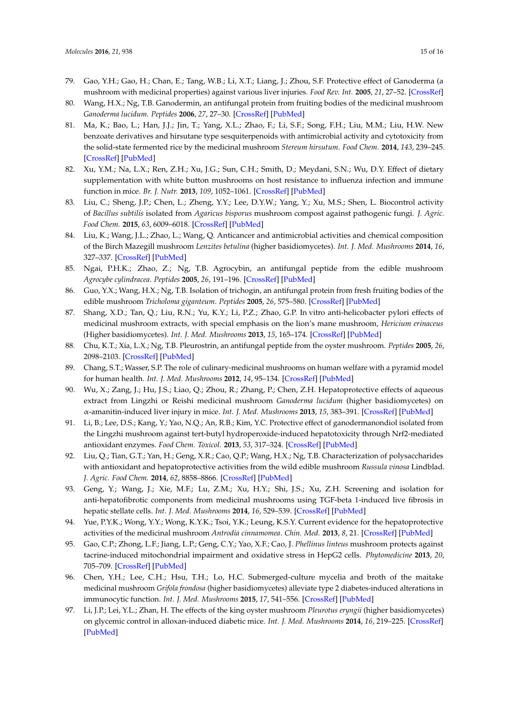- <span id="page-14-0"></span>79. Gao, Y.H.; Gao, H.; Chan, E.; Tang, W.B.; Li, X.T.; Liang, J.; Zhou, S.F. Protective effect of Ganoderma (a mushroom with medicinal properties) against various liver injuries. *Food Rev. Int.* **2005**, *21*, 27–52. [\[CrossRef\]](http://dx.doi.org/10.1081/FRI-200040586)
- <span id="page-14-1"></span>80. Wang, H.X.; Ng, T.B. Ganodermin, an antifungal protein from fruiting bodies of the medicinal mushroom *Ganoderma lucidum*. *Peptides* **2006**, *27*, 27–30. [\[CrossRef\]](http://dx.doi.org/10.1016/j.peptides.2005.06.009) [\[PubMed\]](http://www.ncbi.nlm.nih.gov/pubmed/16039755)
- <span id="page-14-2"></span>81. Ma, K.; Bao, L.; Han, J.J.; Jin, T.; Yang, X.L.; Zhao, F.; Li, S.F.; Song, F.H.; Liu, M.M.; Liu, H.W. New benzoate derivatives and hirsutane type sesquiterpenoids with antimicrobial activity and cytotoxicity from the solid-state fermented rice by the medicinal mushroom *Stereum hirsutum*. *Food Chem.* **2014**, *143*, 239–245. [\[CrossRef\]](http://dx.doi.org/10.1016/j.foodchem.2013.07.124) [\[PubMed\]](http://www.ncbi.nlm.nih.gov/pubmed/24054236)
- <span id="page-14-3"></span>82. Xu, Y.M.; Na, L.X.; Ren, Z.H.; Xu, J.G.; Sun, C.H.; Smith, D.; Meydani, S.N.; Wu, D.Y. Effect of dietary supplementation with white button mushrooms on host resistance to influenza infection and immune function in mice. *Br. J. Nutr.* **2013**, *109*, 1052–1061. [\[CrossRef\]](http://dx.doi.org/10.1017/S0007114512002735) [\[PubMed\]](http://www.ncbi.nlm.nih.gov/pubmed/23200185)
- <span id="page-14-4"></span>83. Liu, C.; Sheng, J.P.; Chen, L.; Zheng, Y.Y.; Lee, D.Y.W.; Yang, Y.; Xu, M.S.; Shen, L. Biocontrol activity of *Bacillus subtilis* isolated from *Agaricus bisporus* mushroom compost against pathogenic fungi. *J. Agric. Food Chem.* **2015**, *63*, 6009–6018. [\[CrossRef\]](http://dx.doi.org/10.1021/acs.jafc.5b02218) [\[PubMed\]](http://www.ncbi.nlm.nih.gov/pubmed/26050784)
- <span id="page-14-5"></span>84. Liu, K.; Wang, J.L.; Zhao, L.; Wang, Q. Anticancer and antimicrobial activities and chemical composition of the Birch Mazegill mushroom *Lenzites betulina* (higher basidiomycetes). *Int. J. Med. Mushrooms* **2014**, *16*, 327–337. [\[CrossRef\]](http://dx.doi.org/10.1615/IntJMedMushrooms.v16.i4.30) [\[PubMed\]](http://www.ncbi.nlm.nih.gov/pubmed/25271861)
- <span id="page-14-6"></span>85. Ngai, P.H.K.; Zhao, Z.; Ng, T.B. Agrocybin, an antifungal peptide from the edible mushroom *Agrocybe cylindracea*. *Peptides* **2005**, *26*, 191–196. [\[CrossRef\]](http://dx.doi.org/10.1016/j.peptides.2004.09.011) [\[PubMed\]](http://www.ncbi.nlm.nih.gov/pubmed/15629530)
- <span id="page-14-7"></span>86. Guo, Y.X.; Wang, H.X.; Ng, T.B. Isolation of trichogin, an antifungal protein from fresh fruiting bodies of the edible mushroom *Tricholoma giganteum*. *Peptides* **2005**, *26*, 575–580. [\[CrossRef\]](http://dx.doi.org/10.1016/j.peptides.2004.11.009) [\[PubMed\]](http://www.ncbi.nlm.nih.gov/pubmed/15752570)
- <span id="page-14-8"></span>87. Shang, X.D.; Tan, Q.; Liu, R.N.; Yu, K.Y.; Li, P.Z.; Zhao, G.P. In vitro anti-helicobacter pylori effects of medicinal mushroom extracts, with special emphasis on the lion's mane mushroom, *Hericium erinaceus* (Higher basidiomycetes). *Int. J. Med. Mushrooms* **2013**, *15*, 165–174. [\[CrossRef\]](http://dx.doi.org/10.1615/IntJMedMushr.v15.i2.50) [\[PubMed\]](http://www.ncbi.nlm.nih.gov/pubmed/23557368)
- <span id="page-14-9"></span>88. Chu, K.T.; Xia, L.X.; Ng, T.B. Pleurostrin, an antifungal peptide from the oyster mushroom. *Peptides* **2005**, *26*, 2098–2103. [\[CrossRef\]](http://dx.doi.org/10.1016/j.peptides.2005.04.010) [\[PubMed\]](http://www.ncbi.nlm.nih.gov/pubmed/15941607)
- <span id="page-14-10"></span>89. Chang, S.T.; Wasser, S.P. The role of culinary-medicinal mushrooms on human welfare with a pyramid model for human health. *Int. J. Med. Mushrooms* **2012**, *14*, 95–134. [\[CrossRef\]](http://dx.doi.org/10.1615/IntJMedMushr.v14.i2.10) [\[PubMed\]](http://www.ncbi.nlm.nih.gov/pubmed/22506573)
- <span id="page-14-11"></span>90. Wu, X.; Zang, J.; Hu, J.S.; Liao, Q.; Zhou, R.; Zhang, P.; Chen, Z.H. Hepatoprotective effects of aqueous extract from Lingzhi or Reishi medicinal mushroom *Ganoderma lucidum* (higher basidiomycetes) on α-amanitin-induced liver injury in mice. *Int. J. Med. Mushrooms* **2013**, *15*, 383–391. [\[CrossRef\]](http://dx.doi.org/10.1615/IntJMedMushr.v15.i4.60) [\[PubMed\]](http://www.ncbi.nlm.nih.gov/pubmed/23796220)
- <span id="page-14-12"></span>91. Li, B.; Lee, D.S.; Kang, Y.; Yao, N.Q.; An, R.B.; Kim, Y.C. Protective effect of ganodermanondiol isolated from the Lingzhi mushroom against tert-butyl hydroperoxide-induced hepatotoxicity through Nrf2-mediated antioxidant enzymes. *Food Chem. Toxicol.* **2013**, *53*, 317–324. [\[CrossRef\]](http://dx.doi.org/10.1016/j.fct.2012.12.016) [\[PubMed\]](http://www.ncbi.nlm.nih.gov/pubmed/23266269)
- <span id="page-14-13"></span>92. Liu, Q.; Tian, G.T.; Yan, H.; Geng, X.R.; Cao, Q.P.; Wang, H.X.; Ng, T.B. Characterization of polysaccharides with antioxidant and hepatoprotective activities from the wild edible mushroom *Russula vinosa* Lindblad. *J. Agric. Food Chem.* **2014**, *62*, 8858–8866. [\[CrossRef\]](http://dx.doi.org/10.1021/jf502632c) [\[PubMed\]](http://www.ncbi.nlm.nih.gov/pubmed/25096265)
- <span id="page-14-14"></span>93. Geng, Y.; Wang, J.; Xie, M.F.; Lu, Z.M.; Xu, H.Y.; Shi, J.S.; Xu, Z.H. Screening and isolation for anti-hepatofibrotic components from medicinal mushrooms using TGF-beta 1-induced live fibrosis in hepatic stellate cells. *Int. J. Med. Mushrooms* **2014**, *16*, 529–539. [\[CrossRef\]](http://dx.doi.org/10.1615/IntJMedMushrooms.v16.i6.30) [\[PubMed\]](http://www.ncbi.nlm.nih.gov/pubmed/25404218)
- <span id="page-14-15"></span>94. Yue, P.Y.K.; Wong, Y.Y.; Wong, K.Y.K.; Tsoi, Y.K.; Leung, K.S.Y. Current evidence for the hepatoprotective activities of the medicinal mushroom *Antrodia cinnamomea*. *Chin. Med.* **2013**, *8*, 21. [\[CrossRef\]](http://dx.doi.org/10.1186/1749-8546-8-21) [\[PubMed\]](http://www.ncbi.nlm.nih.gov/pubmed/24180549)
- <span id="page-14-16"></span>95. Gao, C.P.; Zhong, L.F.; Jiang, L.P.; Geng, C.Y.; Yao, X.F.; Cao, J. *Phellinus linteus* mushroom protects against tacrine-induced mitochondrial impairment and oxidative stress in HepG2 cells. *Phytomedicine* **2013**, *20*, 705–709. [\[CrossRef\]](http://dx.doi.org/10.1016/j.phymed.2013.02.014) [\[PubMed\]](http://www.ncbi.nlm.nih.gov/pubmed/23523257)
- <span id="page-14-17"></span>96. Chen, Y.H.; Lee, C.H.; Hsu, T.H.; Lo, H.C. Submerged-culture mycelia and broth of the maitake medicinal mushroom *Grifola frondosa* (higher basidiomycetes) alleviate type 2 diabetes-induced alterations in immunocytic function. *Int. J. Med. Mushrooms* **2015**, *17*, 541–556. [\[CrossRef\]](http://dx.doi.org/10.1615/IntJMedMushrooms.v17.i6.50) [\[PubMed\]](http://www.ncbi.nlm.nih.gov/pubmed/26349512)
- <span id="page-14-18"></span>97. Li, J.P.; Lei, Y.L.; Zhan, H. The effects of the king oyster mushroom *Pleurotus eryngii* (higher basidiomycetes) on glycemic control in alloxan-induced diabetic mice. *Int. J. Med. Mushrooms* **2014**, *16*, 219–225. [\[CrossRef\]](http://dx.doi.org/10.1615/IntJMedMushr.v16.i3.20) [\[PubMed\]](http://www.ncbi.nlm.nih.gov/pubmed/24941163)